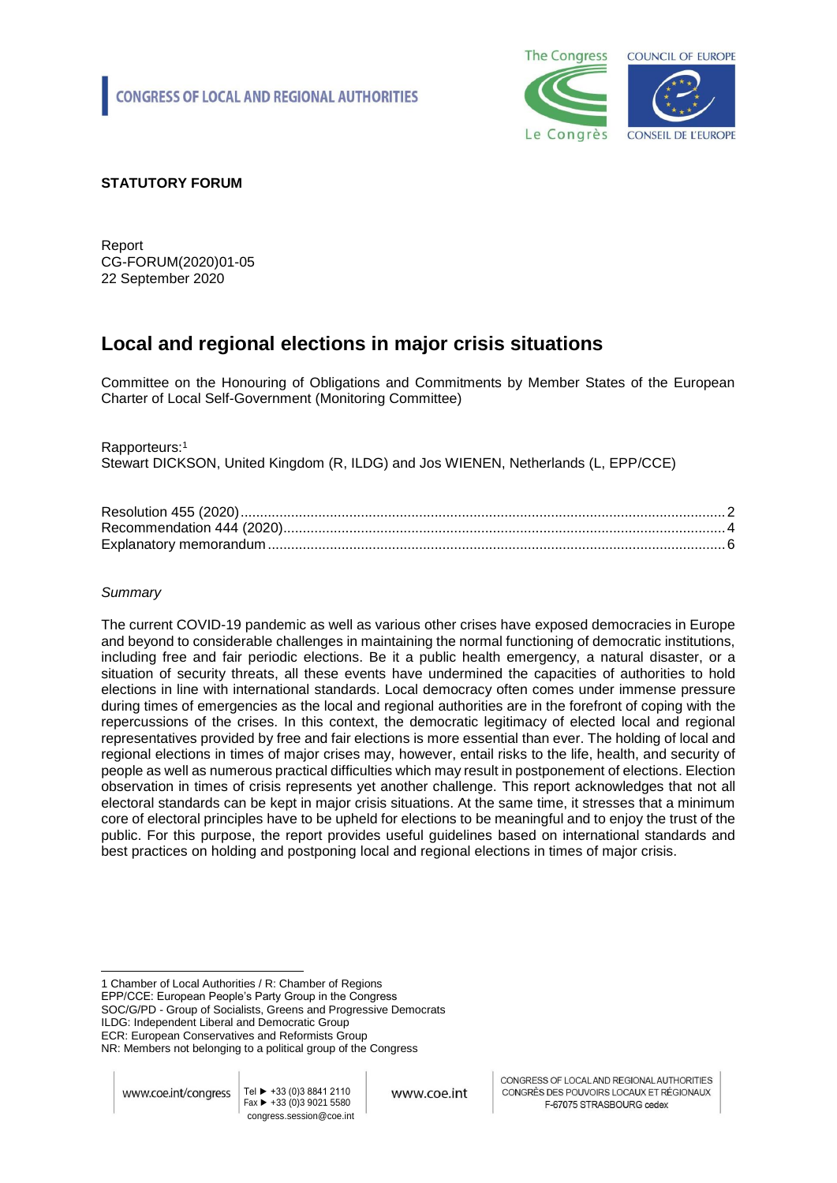

# **STATUTORY FORUM**

Report CG-FORUM(2020)01-05 22 September 2020

# **Local and regional elections in major crisis situations**

Committee on the Honouring of Obligations and Commitments by Member States of the European Charter of Local Self-Government (Monitoring Committee)

Rapporteurs: 1

Stewart DICKSON, United Kingdom (R, ILDG) and Jos WIENEN, Netherlands (L, EPP/CCE)

# *Summary*

The current COVID-19 pandemic as well as various other crises have exposed democracies in Europe and beyond to considerable challenges in maintaining the normal functioning of democratic institutions, including free and fair periodic elections. Be it a public health emergency, a natural disaster, or a situation of security threats, all these events have undermined the capacities of authorities to hold elections in line with international standards. Local democracy often comes under immense pressure during times of emergencies as the local and regional authorities are in the forefront of coping with the repercussions of the crises. In this context, the democratic legitimacy of elected local and regional representatives provided by free and fair elections is more essential than ever. The holding of local and regional elections in times of major crises may, however, entail risks to the life, health, and security of people as well as numerous practical difficulties which may result in postponement of elections. Election observation in times of crisis represents yet another challenge. This report acknowledges that not all electoral standards can be kept in major crisis situations. At the same time, it stresses that a minimum core of electoral principles have to be upheld for elections to be meaningful and to enjoy the trust of the public. For this purpose, the report provides useful guidelines based on international standards and best practices on holding and postponing local and regional elections in times of major crisis.

1 Chamber of Local Authorities / R: Chamber of Regions EPP/CCE: European People's Party Group in the Congress SOC/G/PD - Group of Socialists, Greens and Progressive Democrats ILDG: Independent Liberal and Democratic Group ECR: European Conservatives and Reformists Group

NR: Members not belonging to a political group of the Congress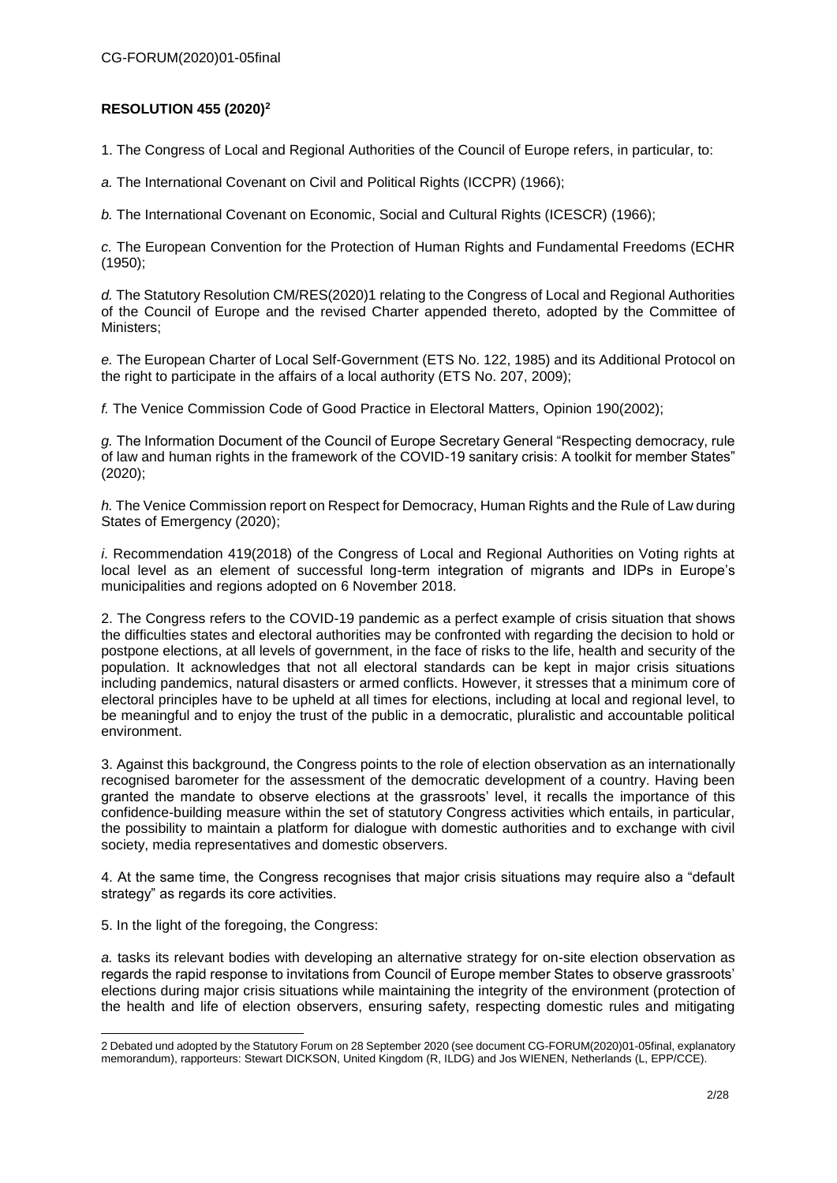# **RESOLUTION 455 (2020)<sup>2</sup>**

1. The Congress of Local and Regional Authorities of the Council of Europe refers, in particular, to:

*a.* The International Covenant on Civil and Political Rights (ICCPR) (1966);

*b.* The International Covenant on Economic, Social and Cultural Rights (ICESCR) (1966);

*c.* The European Convention for the Protection of Human Rights and Fundamental Freedoms (ECHR (1950);

*d.* The Statutory Resolution CM/RES(2020)1 relating to the Congress of Local and Regional Authorities of the Council of Europe and the revised Charter appended thereto, adopted by the Committee of Ministers;

*e.* The European Charter of Local Self-Government (ETS No. 122, 1985) and its Additional Protocol on the right to participate in the affairs of a local authority (ETS No. 207, 2009);

*f.* The Venice Commission Code of Good Practice in Electoral Matters, Opinion 190(2002);

*g.* The Information Document of the Council of Europe Secretary General "Respecting democracy, rule of law and human rights in the framework of the COVID-19 sanitary crisis: A toolkit for member States" (2020);

*h.* The Venice Commission report on Respect for Democracy, Human Rights and the Rule of Law during States of Emergency (2020);

*i*. Recommendation 419(2018) of the Congress of Local and Regional Authorities on Voting rights at local level as an element of successful long-term integration of migrants and IDPs in Europe's municipalities and regions adopted on 6 November 2018.

2. The Congress refers to the COVID-19 pandemic as a perfect example of crisis situation that shows the difficulties states and electoral authorities may be confronted with regarding the decision to hold or postpone elections, at all levels of government, in the face of risks to the life, health and security of the population. It acknowledges that not all electoral standards can be kept in major crisis situations including pandemics, natural disasters or armed conflicts. However, it stresses that a minimum core of electoral principles have to be upheld at all times for elections, including at local and regional level, to be meaningful and to enjoy the trust of the public in a democratic, pluralistic and accountable political environment.

3. Against this background, the Congress points to the role of election observation as an internationally recognised barometer for the assessment of the democratic development of a country. Having been granted the mandate to observe elections at the grassroots' level, it recalls the importance of this confidence-building measure within the set of statutory Congress activities which entails, in particular, the possibility to maintain a platform for dialogue with domestic authorities and to exchange with civil society, media representatives and domestic observers.

4. At the same time, the Congress recognises that major crisis situations may require also a "default strategy" as regards its core activities.

5. In the light of the foregoing, the Congress:

1

*a.* tasks its relevant bodies with developing an alternative strategy for on-site election observation as regards the rapid response to invitations from Council of Europe member States to observe grassroots' elections during major crisis situations while maintaining the integrity of the environment (protection of the health and life of election observers, ensuring safety, respecting domestic rules and mitigating

<sup>2</sup> Debated und adopted by the Statutory Forum on 28 September 2020 (see document CG-FORUM(2020)01-05final, explanatory memorandum), rapporteurs: Stewart DICKSON, United Kingdom (R, ILDG) and Jos WIENEN, Netherlands (L, EPP/CCE).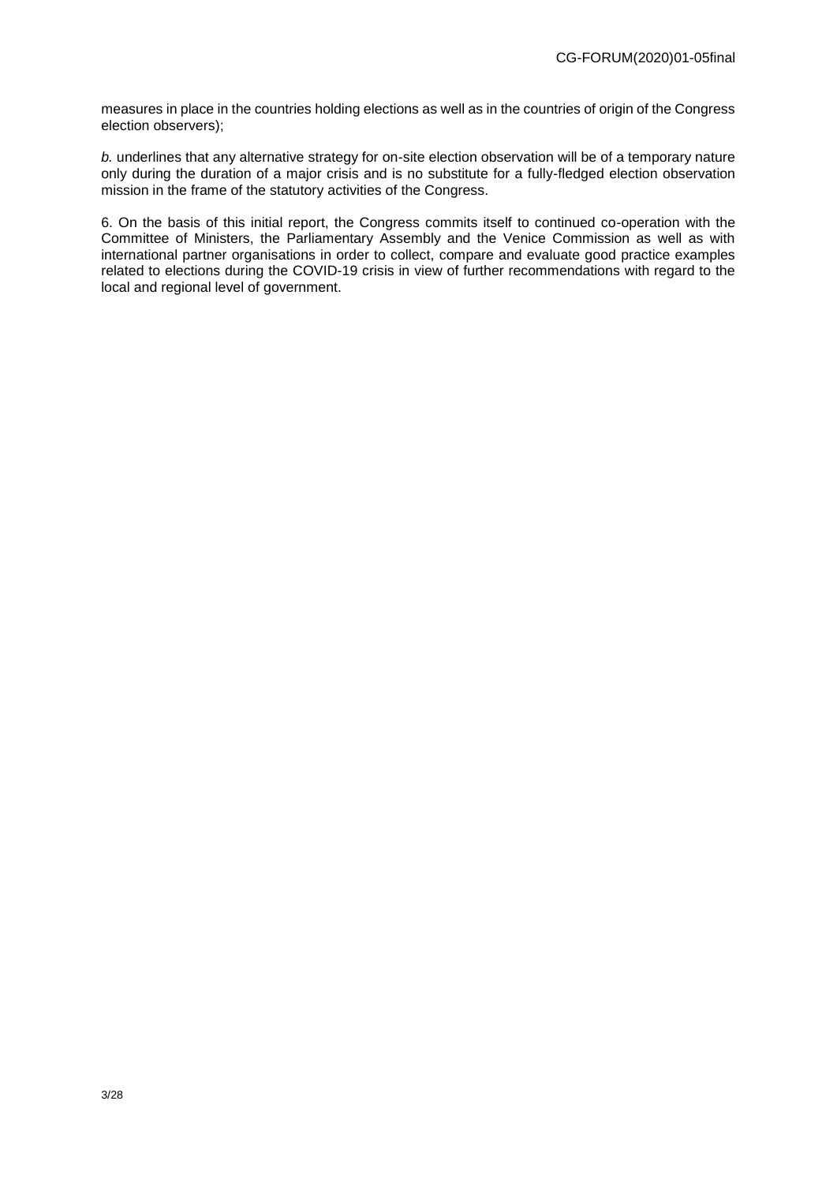measures in place in the countries holding elections as well as in the countries of origin of the Congress election observers);

*b.* underlines that any alternative strategy for on-site election observation will be of a temporary nature only during the duration of a major crisis and is no substitute for a fully-fledged election observation mission in the frame of the statutory activities of the Congress.

6. On the basis of this initial report, the Congress commits itself to continued co-operation with the Committee of Ministers, the Parliamentary Assembly and the Venice Commission as well as with international partner organisations in order to collect, compare and evaluate good practice examples related to elections during the COVID-19 crisis in view of further recommendations with regard to the local and regional level of government.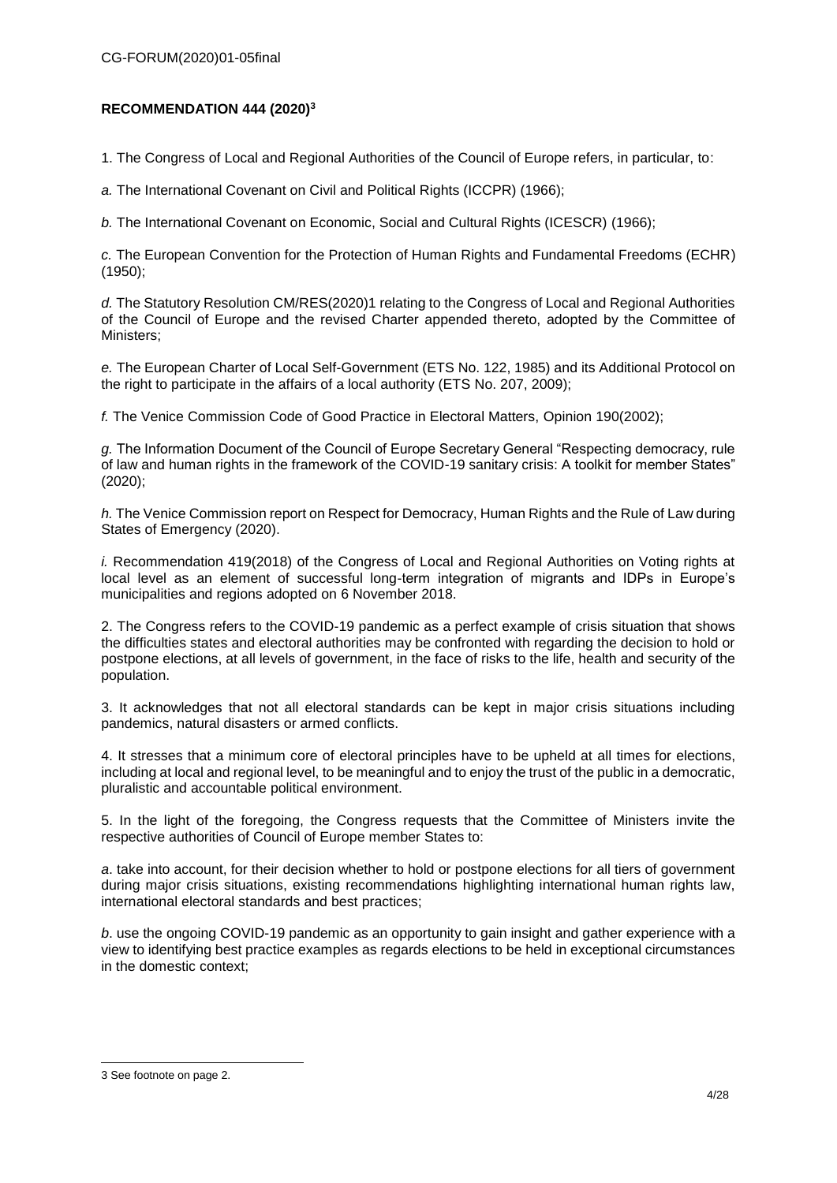# **RECOMMENDATION 444 (2020)<sup>3</sup>**

1. The Congress of Local and Regional Authorities of the Council of Europe refers, in particular, to:

*a.* The International Covenant on Civil and Political Rights (ICCPR) (1966);

*b.* The International Covenant on Economic, Social and Cultural Rights (ICESCR) (1966);

*c.* The European Convention for the Protection of Human Rights and Fundamental Freedoms (ECHR) (1950);

*d.* The Statutory Resolution CM/RES(2020)1 relating to the Congress of Local and Regional Authorities of the Council of Europe and the revised Charter appended thereto, adopted by the Committee of Ministers;

*e.* The European Charter of Local Self-Government (ETS No. 122, 1985) and its Additional Protocol on the right to participate in the affairs of a local authority (ETS No. 207, 2009);

*f.* The Venice Commission Code of Good Practice in Electoral Matters, Opinion 190(2002);

*g.* The Information Document of the Council of Europe Secretary General "Respecting democracy, rule of law and human rights in the framework of the COVID-19 sanitary crisis: A toolkit for member States" (2020);

*h.* The Venice Commission report on Respect for Democracy, Human Rights and the Rule of Law during States of Emergency (2020).

*i.* Recommendation 419(2018) of the Congress of Local and Regional Authorities on Voting rights at local level as an element of successful long-term integration of migrants and IDPs in Europe's municipalities and regions adopted on 6 November 2018.

2. The Congress refers to the COVID-19 pandemic as a perfect example of crisis situation that shows the difficulties states and electoral authorities may be confronted with regarding the decision to hold or postpone elections, at all levels of government, in the face of risks to the life, health and security of the population.

3. It acknowledges that not all electoral standards can be kept in major crisis situations including pandemics, natural disasters or armed conflicts.

4. It stresses that a minimum core of electoral principles have to be upheld at all times for elections, including at local and regional level, to be meaningful and to enjoy the trust of the public in a democratic, pluralistic and accountable political environment.

5. In the light of the foregoing, the Congress requests that the Committee of Ministers invite the respective authorities of Council of Europe member States to:

*a*. take into account, for their decision whether to hold or postpone elections for all tiers of government during major crisis situations, existing recommendations highlighting international human rights law, international electoral standards and best practices;

*b*. use the ongoing COVID-19 pandemic as an opportunity to gain insight and gather experience with a view to identifying best practice examples as regards elections to be held in exceptional circumstances in the domestic context;

1

<sup>3</sup> See footnote on page 2.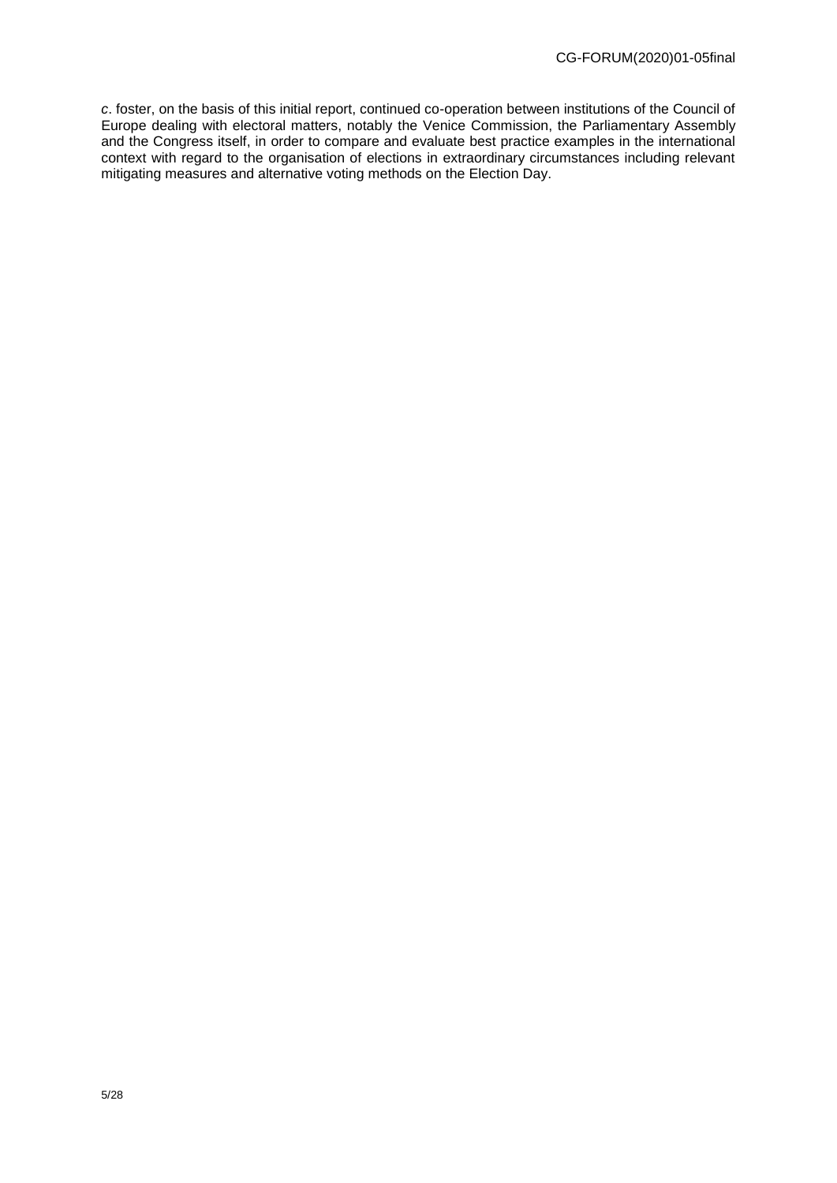*c*. foster, on the basis of this initial report, continued co-operation between institutions of the Council of Europe dealing with electoral matters, notably the Venice Commission, the Parliamentary Assembly and the Congress itself, in order to compare and evaluate best practice examples in the international context with regard to the organisation of elections in extraordinary circumstances including relevant mitigating measures and alternative voting methods on the Election Day.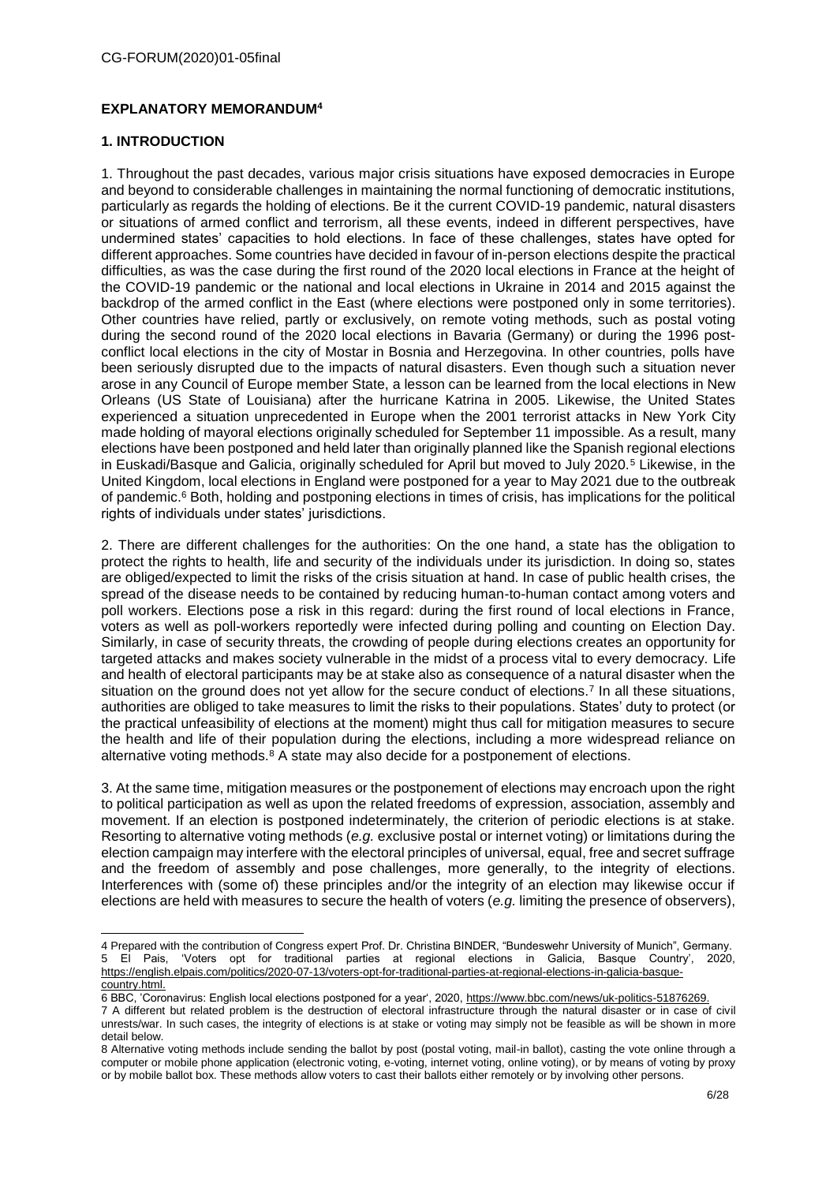# **EXPLANATORY MEMORANDUM<sup>4</sup>**

## **1. INTRODUCTION**

1. Throughout the past decades, various major crisis situations have exposed democracies in Europe and beyond to considerable challenges in maintaining the normal functioning of democratic institutions, particularly as regards the holding of elections. Be it the current COVID-19 pandemic, natural disasters or situations of armed conflict and terrorism, all these events, indeed in different perspectives, have undermined states' capacities to hold elections. In face of these challenges, states have opted for different approaches. Some countries have decided in favour of in-person elections despite the practical difficulties, as was the case during the first round of the 2020 local elections in France at the height of the COVID-19 pandemic or the national and local elections in Ukraine in 2014 and 2015 against the backdrop of the armed conflict in the East (where elections were postponed only in some territories). Other countries have relied, partly or exclusively, on remote voting methods, such as postal voting during the second round of the 2020 local elections in Bavaria (Germany) or during the 1996 postconflict local elections in the city of Mostar in Bosnia and Herzegovina. In other countries, polls have been seriously disrupted due to the impacts of natural disasters. Even though such a situation never arose in any Council of Europe member State, a lesson can be learned from the local elections in New Orleans (US State of Louisiana) after the hurricane Katrina in 2005. Likewise, the United States experienced a situation unprecedented in Europe when the 2001 terrorist attacks in New York City made holding of mayoral elections originally scheduled for September 11 impossible. As a result, many elections have been postponed and held later than originally planned like the Spanish regional elections in Euskadi/Basque and Galicia, originally scheduled for April but moved to July 2020.<sup>5</sup> Likewise, in the United Kingdom, local elections in England were postponed for a year to May 2021 due to the outbreak of pandemic. <sup>6</sup> Both, holding and postponing elections in times of crisis, has implications for the political rights of individuals under states' jurisdictions.

2. There are different challenges for the authorities: On the one hand, a state has the obligation to protect the rights to health, life and security of the individuals under its jurisdiction. In doing so, states are obliged/expected to limit the risks of the crisis situation at hand. In case of public health crises, the spread of the disease needs to be contained by reducing human-to-human contact among voters and poll workers. Elections pose a risk in this regard: during the first round of local elections in France, voters as well as poll-workers reportedly were infected during polling and counting on Election Day. Similarly, in case of security threats, the crowding of people during elections creates an opportunity for targeted attacks and makes society vulnerable in the midst of a process vital to every democracy. Life and health of electoral participants may be at stake also as consequence of a natural disaster when the situation on the ground does not yet allow for the secure conduct of elections.<sup>7</sup> In all these situations, authorities are obliged to take measures to limit the risks to their populations. States' duty to protect (or the practical unfeasibility of elections at the moment) might thus call for mitigation measures to secure the health and life of their population during the elections, including a more widespread reliance on alternative voting methods.<sup>8</sup> A state may also decide for a postponement of elections.

3. At the same time, mitigation measures or the postponement of elections may encroach upon the right to political participation as well as upon the related freedoms of expression, association, assembly and movement. If an election is postponed indeterminately, the criterion of periodic elections is at stake. Resorting to alternative voting methods (*e.g.* exclusive postal or internet voting) or limitations during the election campaign may interfere with the electoral principles of universal, equal, free and secret suffrage and the freedom of assembly and pose challenges, more generally, to the integrity of elections. Interferences with (some of) these principles and/or the integrity of an election may likewise occur if elections are held with measures to secure the health of voters (*e.g.* limiting the presence of observers),

<sup>-</sup>4 Prepared with the contribution of Congress expert Prof. Dr. Christina BINDER, "Bundeswehr University of Munich", Germany. 5 El Pais, 'Voters opt for traditional parties at regional elections in Galicia, Basque Country', 2020, [https://english.elpais.com/politics/2020-07-13/voters-opt-for-traditional-parties-at-regional-elections-in-galicia-basque](https://english.elpais.com/politics/2020-07-13/voters-opt-for-traditional-parties-at-regional-elections-in-galicia-basque-country.html)[country.html.](https://english.elpais.com/politics/2020-07-13/voters-opt-for-traditional-parties-at-regional-elections-in-galicia-basque-country.html)

<sup>6</sup> BBC, 'Coronavirus: English local elections postponed for a year', 2020, https://www.bbc.com/news/uk-politics-51876269.

<sup>7</sup> A different but related problem is the destruction of electoral infrastructure through the natural disaster or in case of civil unrests/war. In such cases, the integrity of elections is at stake or voting may simply not be feasible as will be shown in more detail below.

<sup>8</sup> Alternative voting methods include sending the ballot by post (postal voting, mail-in ballot), casting the vote online through a computer or mobile phone application (electronic voting, e-voting, internet voting, online voting), or by means of voting by proxy or by mobile ballot box. These methods allow voters to cast their ballots either remotely or by involving other persons.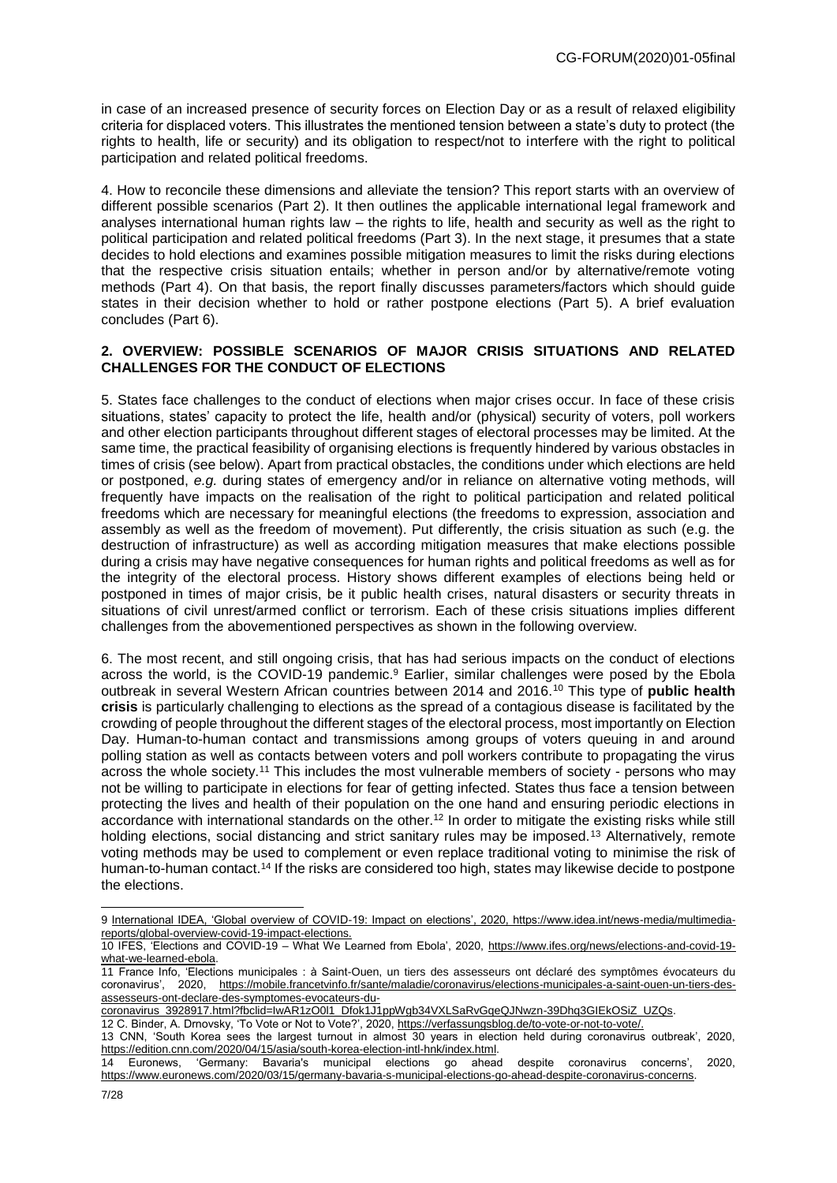in case of an increased presence of security forces on Election Day or as a result of relaxed eligibility criteria for displaced voters. This illustrates the mentioned tension between a state's duty to protect (the rights to health, life or security) and its obligation to respect/not to interfere with the right to political participation and related political freedoms.

4. How to reconcile these dimensions and alleviate the tension? This report starts with an overview of different possible scenarios (Part 2). It then outlines the applicable international legal framework and analyses international human rights law – the rights to life, health and security as well as the right to political participation and related political freedoms (Part 3). In the next stage, it presumes that a state decides to hold elections and examines possible mitigation measures to limit the risks during elections that the respective crisis situation entails; whether in person and/or by alternative/remote voting methods (Part 4). On that basis, the report finally discusses parameters/factors which should guide states in their decision whether to hold or rather postpone elections (Part 5). A brief evaluation concludes (Part 6).

#### **2. OVERVIEW: POSSIBLE SCENARIOS OF MAJOR CRISIS SITUATIONS AND RELATED CHALLENGES FOR THE CONDUCT OF ELECTIONS**

5. States face challenges to the conduct of elections when major crises occur. In face of these crisis situations, states' capacity to protect the life, health and/or (physical) security of voters, poll workers and other election participants throughout different stages of electoral processes may be limited. At the same time, the practical feasibility of organising elections is frequently hindered by various obstacles in times of crisis (see below). Apart from practical obstacles, the conditions under which elections are held or postponed, *e.g.* during states of emergency and/or in reliance on alternative voting methods, will frequently have impacts on the realisation of the right to political participation and related political freedoms which are necessary for meaningful elections (the freedoms to expression, association and assembly as well as the freedom of movement). Put differently, the crisis situation as such (e.g. the destruction of infrastructure) as well as according mitigation measures that make elections possible during a crisis may have negative consequences for human rights and political freedoms as well as for the integrity of the electoral process. History shows different examples of elections being held or postponed in times of major crisis, be it public health crises, natural disasters or security threats in situations of civil unrest/armed conflict or terrorism. Each of these crisis situations implies different challenges from the abovementioned perspectives as shown in the following overview.

6. The most recent, and still ongoing crisis, that has had serious impacts on the conduct of elections across the world, is the COVID-19 pandemic.<sup>9</sup> Earlier, similar challenges were posed by the Ebola outbreak in several Western African countries between 2014 and 2016.<sup>10</sup> This type of **public health crisis** is particularly challenging to elections as the spread of a contagious disease is facilitated by the crowding of people throughout the different stages of the electoral process, most importantly on Election Day. Human-to-human contact and transmissions among groups of voters queuing in and around polling station as well as contacts between voters and poll workers contribute to propagating the virus across the whole society.<sup>11</sup> This includes the most vulnerable members of society - persons who may not be willing to participate in elections for fear of getting infected. States thus face a tension between protecting the lives and health of their population on the one hand and ensuring periodic elections in accordance with international standards on the other.<sup>12</sup> In order to mitigate the existing risks while still holding elections, social distancing and strict sanitary rules may be imposed.<sup>13</sup> Alternatively, remote voting methods may be used to complement or even replace traditional voting to minimise the risk of human-to-human contact.<sup>14</sup> If the risks are considered too high, states may likewise decide to postpone the elections.

coronavirus\_3928917.html?fbclid=IwAR1zO0l1\_Dfok1J1ppWgb34VXLSaRvGqeQJNwzn-39Dhq3GIEkOSiZ\_UZQs.

12 C. Binder, A. Drnovsky, 'To Vote or Not to Vote?', 2020, https://verfassungsblog.de/to-vote-or-not-to-vote/.

<sup>9</sup> International IDEA, 'Global overview of COVID-19: Impact on elections', 2020, https://www.idea.int/news-media/multimediareports/global-overview-covid-19-impact-elections.

<sup>10</sup> IFES, 'Elections and COVID-19 – What We Learned from Ebola', 2020, [https://www.ifes.org/news/elections-and-covid-19](https://www.ifes.org/news/elections-and-covid-19-what-we-learned-ebola) [what-we-learned-ebola.](https://www.ifes.org/news/elections-and-covid-19-what-we-learned-ebola)

<sup>11</sup> France Info, 'Elections municipales : à Saint-Ouen, un tiers des assesseurs ont déclaré des symptômes évocateurs du coronavirus', 2020, https://mobile.francetvinfo.fr/sante/maladie/coronavirus/elections-municipales-a-saint-ouen-un-tiers-desassesseurs-ont-declare-des-symptomes-evocateurs-du-

<sup>13</sup> CNN, 'South Korea sees the largest turnout in almost 30 years in election held during coronavirus outbreak', 2020, [https://edition.cnn.com/2020/04/15/asia/south-korea-election-intl-hnk/index.html.](https://edition.cnn.com/2020/04/15/asia/south-korea-election-intl-hnk/index.html)

<sup>14</sup> Euronews, 'Germany: Bavaria's municipal elections go ahead despite coronavirus concerns', 2020, [https://www.euronews.com/2020/03/15/germany-bavaria-s-municipal-elections-go-ahead-despite-coronavirus-concerns.](https://www.euronews.com/2020/03/15/germany-bavaria-s-municipal-elections-go-ahead-despite-coronavirus-concerns)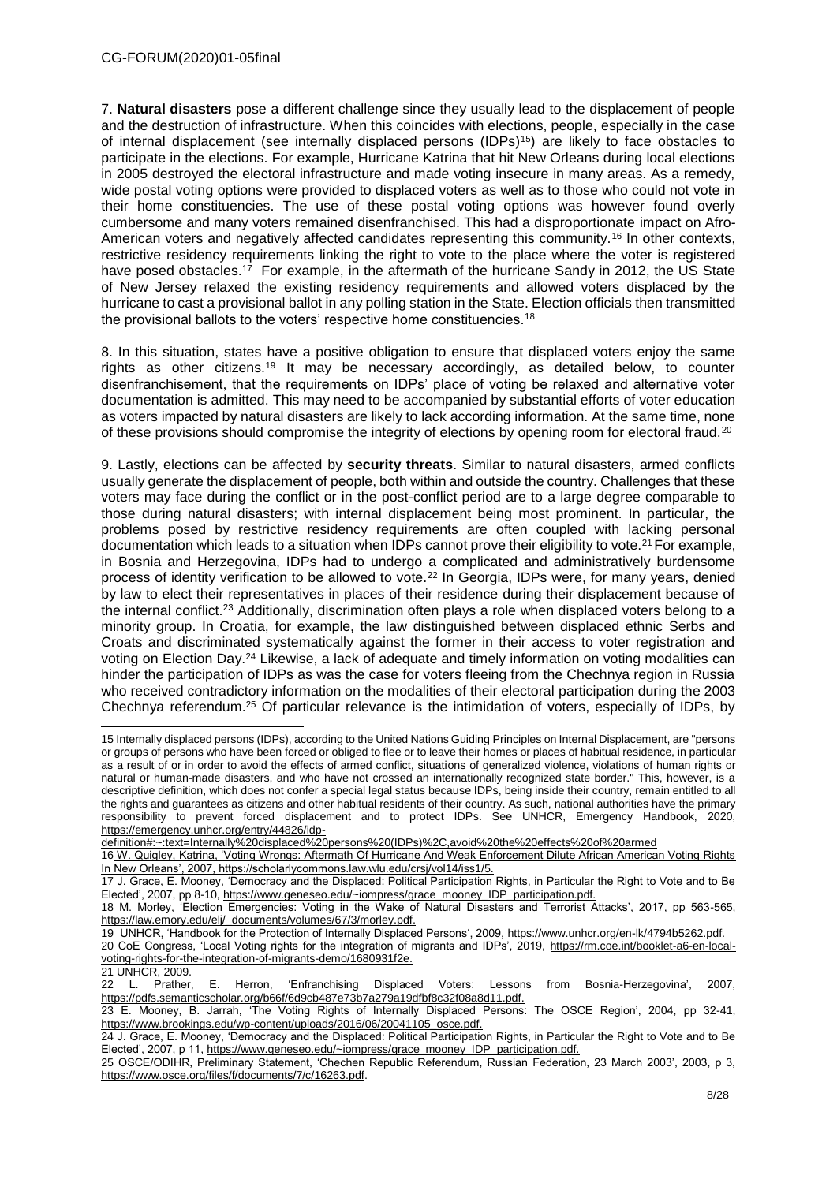7. **Natural disasters** pose a different challenge since they usually lead to the displacement of people and the destruction of infrastructure. When this coincides with elections, people, especially in the case of internal displacement (see internally displaced persons (IDPs)<sup>15</sup>) are likely to face obstacles to participate in the elections. For example, Hurricane Katrina that hit New Orleans during local elections in 2005 destroyed the electoral infrastructure and made voting insecure in many areas. As a remedy, wide postal voting options were provided to displaced voters as well as to those who could not vote in their home constituencies. The use of these postal voting options was however found overly cumbersome and many voters remained disenfranchised. This had a disproportionate impact on Afro-American voters and negatively affected candidates representing this community.<sup>16</sup> In other contexts, restrictive residency requirements linking the right to vote to the place where the voter is registered have posed obstacles.<sup>17</sup> For example, in the aftermath of the hurricane Sandy in 2012, the US State of New Jersey relaxed the existing residency requirements and allowed voters displaced by the hurricane to cast a provisional ballot in any polling station in the State. Election officials then transmitted the provisional ballots to the voters' respective home constituencies.<sup>18</sup>

8. In this situation, states have a positive obligation to ensure that displaced voters enjoy the same rights as other citizens.<sup>19</sup> It may be necessary accordingly, as detailed below, to counter disenfranchisement, that the requirements on IDPs' place of voting be relaxed and alternative voter documentation is admitted. This may need to be accompanied by substantial efforts of voter education as voters impacted by natural disasters are likely to lack according information. At the same time, none of these provisions should compromise the integrity of elections by opening room for electoral fraud.<sup>20</sup>

9. Lastly, elections can be affected by **security threats**. Similar to natural disasters, armed conflicts usually generate the displacement of people, both within and outside the country. Challenges that these voters may face during the conflict or in the post-conflict period are to a large degree comparable to those during natural disasters; with internal displacement being most prominent. In particular, the problems posed by restrictive residency requirements are often coupled with lacking personal documentation which leads to a situation when IDPs cannot prove their eligibility to vote.<sup>21</sup> For example, in Bosnia and Herzegovina, IDPs had to undergo a complicated and administratively burdensome process of identity verification to be allowed to vote.<sup>22</sup> In Georgia, IDPs were, for many years, denied by law to elect their representatives in places of their residence during their displacement because of the internal conflict.<sup>23</sup> Additionally, discrimination often plays a role when displaced voters belong to a minority group. In Croatia, for example, the law distinguished between displaced ethnic Serbs and Croats and discriminated systematically against the former in their access to voter registration and voting on Election Day.<sup>24</sup> Likewise, a lack of adequate and timely information on voting modalities can hinder the participation of IDPs as was the case for voters fleeing from the Chechnya region in Russia who received contradictory information on the modalities of their electoral participation during the 2003 Chechnya referendum.<sup>25</sup> Of particular relevance is the intimidation of voters, especially of IDPs, by

<sup>-</sup>15 Internally displaced persons (IDPs), according to the United Nations Guiding Principles on Internal Displacement, are "persons or groups of persons who have been forced or obliged to flee or to leave their homes or places of habitual residence, in particular as a result of or in order to avoid the effects of armed conflict, situations of generalized violence, violations of human rights or natural or human-made disasters, and who have not crossed an internationally recognized state border." This, however, is a descriptive definition, which does not confer a special legal status because IDPs, being inside their country, remain entitled to all the rights and guarantees as citizens and other habitual residents of their country. As such, national authorities have the primary responsibility to prevent forced displacement and to protect IDPs. See UNHCR, Emergency Handbook, 2020, [https://emergency.unhcr.org/entry/44826/idp-](https://emergency.unhcr.org/entry/44826/idp-definition#:~:text=Internally%20displaced%20persons%20(IDPs)%2C,avoid%20the%20effects%20of%20armed)

[definition#:~:text=Internally%20displaced%20persons%20\(IDPs\)%2C,avoid%20the%20effects%20of%20armed](https://emergency.unhcr.org/entry/44826/idp-definition#:~:text=Internally%20displaced%20persons%20(IDPs)%2C,avoid%20the%20effects%20of%20armed)

<sup>16</sup> W. Quigley, Katrina, 'Voting Wrongs: Aftermath Of Hurricane And Weak Enforcement Dilute African American Voting Rights In New Orleans', 2007, https://scholarlycommons.law.wlu.edu/crsj/vol14/iss1/5.

<sup>17</sup> J. Grace, E. Mooney, 'Democracy and the Displaced: Political Participation Rights, in Particular the Right to Vote and to Be Elected', 2007, pp 8-10, https://www.geneseo.edu/~iompress/grace\_mooney\_IDP\_participation.pdf.

<sup>18</sup> M. Morley, 'Election Emergencies: Voting in the Wake of Natural Disasters and Terrorist Attacks', 2017, pp 563-565, [https://law.emory.edu/elj/\\_documents/volumes/67/3/morley.pdf.](https://law.emory.edu/elj/_documents/volumes/67/3/morley.pdf)

<sup>19</sup> UNHCR, 'Handbook for the Protection of Internally Displaced Persons', 2009, https://www.unhcr.org/en-lk/4794b5262.pdf. 20 CoE Congress, 'Local Voting rights for the integration of migrants and IDPs', 2019, [https://rm.coe.int/booklet-a6-en-local](https://rm.coe.int/booklet-a6-en-local-voting-rights-for-the-integration-of-migrants-demo/1680931f2e)[voting-rights-for-the-integration-of-migrants-demo/1680931f2e.](https://rm.coe.int/booklet-a6-en-local-voting-rights-for-the-integration-of-migrants-demo/1680931f2e)

<sup>21</sup> UNHCR, 2009.

<sup>22</sup> L. Prather, E. Herron, 'Enfranchising Displaced Voters: Lessons from Bosnia-Herzegovina', 2007, [https://pdfs.semanticscholar.org/b66f/6d9cb487e73b7a279a19dfbf8c32f08a8d11.pdf.](https://pdfs.semanticscholar.org/b66f/6d9cb487e73b7a279a19dfbf8c32f08a8d11.pdf)

<sup>23</sup> E. Mooney, B. Jarrah, 'The Voting Rights of Internally Displaced Persons: The OSCE Region', 2004, pp 32-41, [https://www.brookings.edu/wp-content/uploads/2016/06/20041105\\_osce.pdf.](https://www.brookings.edu/wp-content/uploads/2016/06/20041105_osce.pdf)

<sup>24</sup> J. Grace, E. Mooney, 'Democracy and the Displaced: Political Participation Rights, in Particular the Right to Vote and to Be Elected', 2007, p 11, https://www.geneseo.edu/~iompress/grace\_mooney\_IDP\_participation.pdf.

<sup>25</sup> OSCE/ODIHR, Preliminary Statement, 'Chechen Republic Referendum, Russian Federation, 23 March 2003', 2003, p 3, [https://www.osce.org/files/f/documents/7/c/16263.pdf.](https://www.osce.org/files/f/documents/7/c/16263.pdf)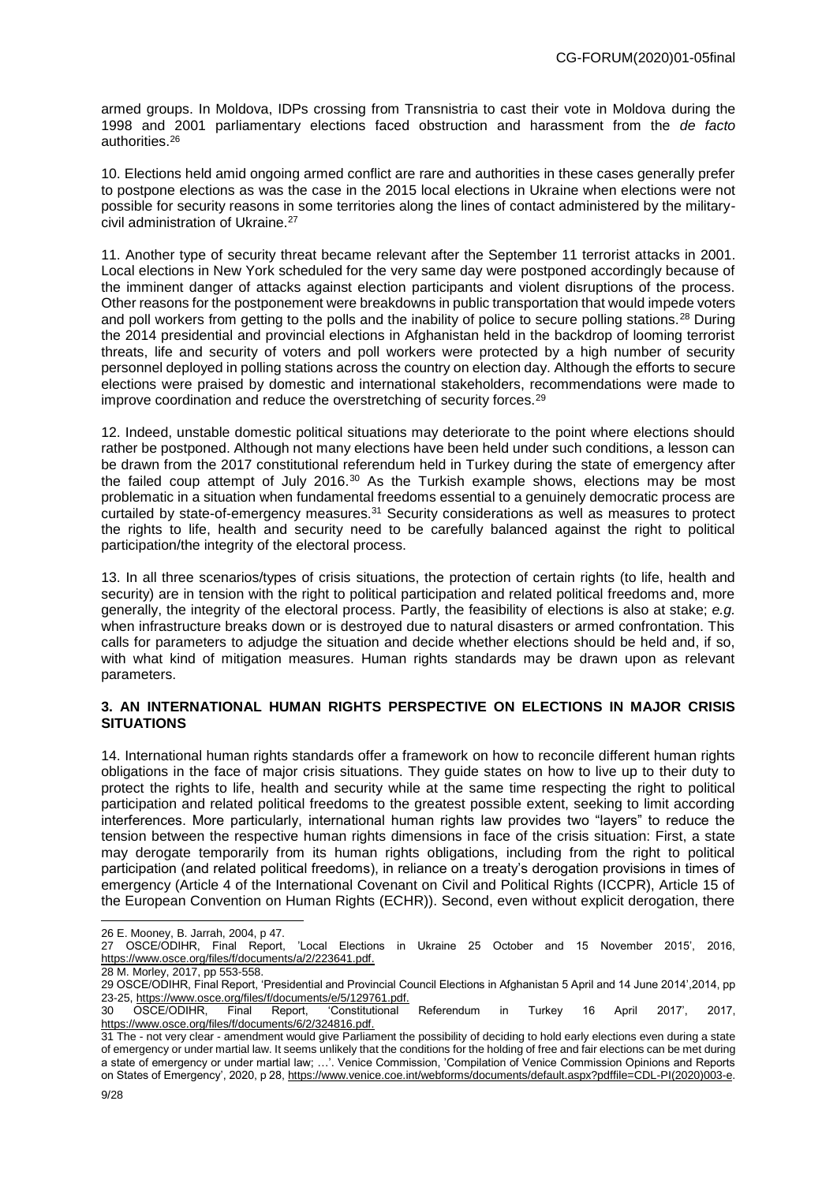armed groups. In Moldova, IDPs crossing from Transnistria to cast their vote in Moldova during the 1998 and 2001 parliamentary elections faced obstruction and harassment from the *de facto* authorities.<sup>26</sup>

10. Elections held amid ongoing armed conflict are rare and authorities in these cases generally prefer to postpone elections as was the case in the 2015 local elections in Ukraine when elections were not possible for security reasons in some territories along the lines of contact administered by the militarycivil administration of Ukraine.<sup>27</sup>

11. Another type of security threat became relevant after the September 11 terrorist attacks in 2001. Local elections in New York scheduled for the very same day were postponed accordingly because of the imminent danger of attacks against election participants and violent disruptions of the process. Other reasons for the postponement were breakdowns in public transportation that would impede voters and poll workers from getting to the polls and the inability of police to secure polling stations.<sup>28</sup> During the 2014 presidential and provincial elections in Afghanistan held in the backdrop of looming terrorist threats, life and security of voters and poll workers were protected by a high number of security personnel deployed in polling stations across the country on election day. Although the efforts to secure elections were praised by domestic and international stakeholders, recommendations were made to improve coordination and reduce the overstretching of security forces.<sup>29</sup>

12. Indeed, unstable domestic political situations may deteriorate to the point where elections should rather be postponed. Although not many elections have been held under such conditions, a lesson can be drawn from the 2017 constitutional referendum held in Turkey during the state of emergency after the failed coup attempt of July 2016. $30$  As the Turkish example shows, elections may be most problematic in a situation when fundamental freedoms essential to a genuinely democratic process are curtailed by state-of-emergency measures.<sup>31</sup> Security considerations as well as measures to protect the rights to life, health and security need to be carefully balanced against the right to political participation/the integrity of the electoral process.

13. In all three scenarios/types of crisis situations, the protection of certain rights (to life, health and security) are in tension with the right to political participation and related political freedoms and, more generally, the integrity of the electoral process. Partly, the feasibility of elections is also at stake; *e.g.* when infrastructure breaks down or is destroyed due to natural disasters or armed confrontation. This calls for parameters to adjudge the situation and decide whether elections should be held and, if so, with what kind of mitigation measures. Human rights standards may be drawn upon as relevant parameters.

#### **3. AN INTERNATIONAL HUMAN RIGHTS PERSPECTIVE ON ELECTIONS IN MAJOR CRISIS SITUATIONS**

14. International human rights standards offer a framework on how to reconcile different human rights obligations in the face of major crisis situations. They guide states on how to live up to their duty to protect the rights to life, health and security while at the same time respecting the right to political participation and related political freedoms to the greatest possible extent, seeking to limit according interferences. More particularly, international human rights law provides two "layers" to reduce the tension between the respective human rights dimensions in face of the crisis situation: First, a state may derogate temporarily from its human rights obligations, including from the right to political participation (and related political freedoms), in reliance on a treaty's derogation provisions in times of emergency (Article 4 of the International Covenant on Civil and Political Rights (ICCPR), Article 15 of the European Convention on Human Rights (ECHR)). Second, even without explicit derogation, there

<sup>26</sup> E. Mooney, B. Jarrah, 2004, p 47.<br>27 OSCE/ODIHR, Final Report,

<sup>&#</sup>x27;Local Elections in Ukraine 25 October and 15 November 2015', 2016, [https://www.osce.org/files/f/documents/a/2/223641.pdf.](https://www.osce.org/files/f/documents/a/2/223641.pdf)

<sup>28</sup> M. Morley, 2017, pp 553-558.

<sup>29</sup> OSCE/ODIHR, Final Report, 'Presidential and Provincial Council Elections in Afghanistan 5 April and 14 June 2014',2014, pp 23-25, https://www.osce.org/files/f/documents/e/5/129761.pdf.

<sup>30</sup> OSCE/ODIHR, Final Report, 'Constitutional Referendum in Turkey 16 April 2017', 2017, https://www.osce.org/files/f/documents/6/2/324816.pdf.

<sup>31</sup> The - not very clear - amendment would give Parliament the possibility of deciding to hold early elections even during a state of emergency or under martial law. It seems unlikely that the conditions for the holding of free and fair elections can be met during a state of emergency or under martial law; …'. Venice Commission, 'Compilation of Venice Commission Opinions and Reports on States of Emergency', 2020, p 28[, https://www.venice.coe.int/webforms/documents/default.aspx?pdffile=CDL-PI\(2020\)003-e.](https://www.venice.coe.int/webforms/documents/default.aspx?pdffile=CDL-PI(2020)003-e)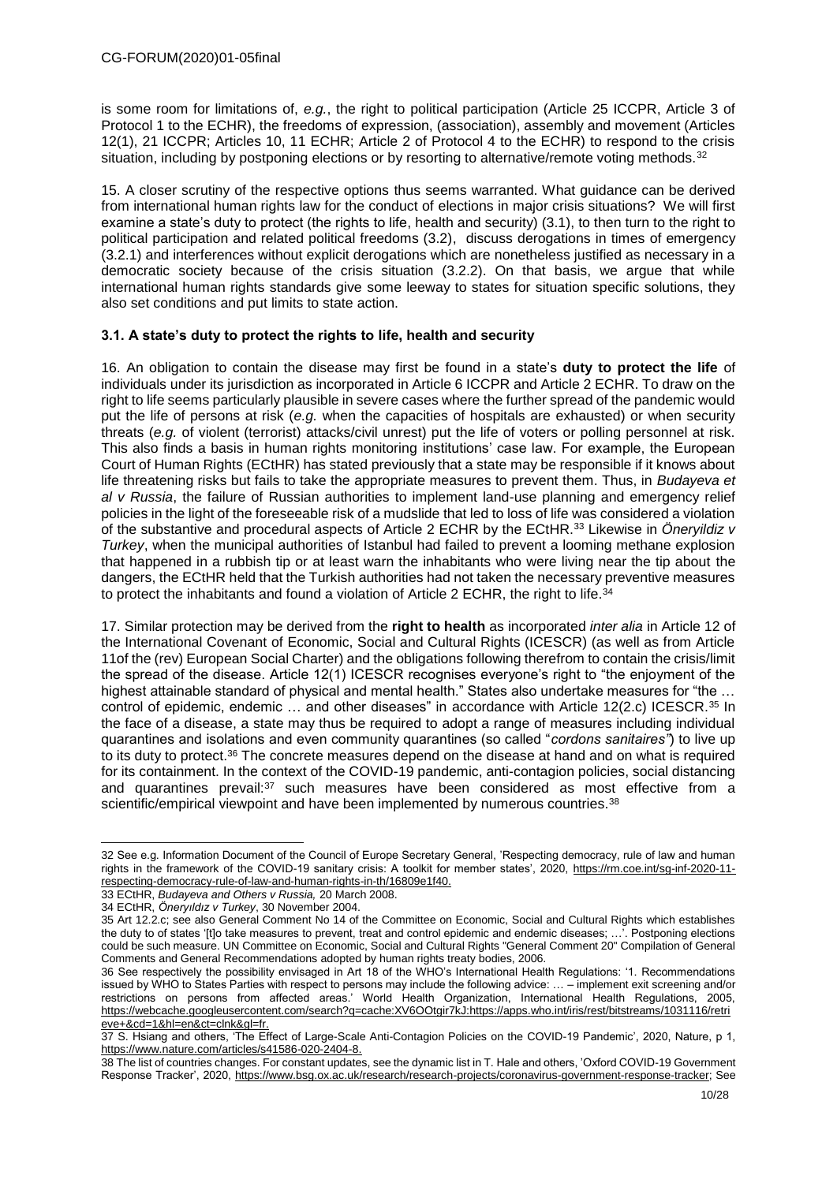is some room for limitations of, *e.g.*, the right to political participation (Article 25 ICCPR, Article 3 of Protocol 1 to the ECHR), the freedoms of expression, (association), assembly and movement (Articles 12(1), 21 ICCPR; Articles 10, 11 ECHR; Article 2 of Protocol 4 to the ECHR) to respond to the crisis situation, including by postponing elections or by resorting to alternative/remote voting methods.<sup>32</sup>

15. A closer scrutiny of the respective options thus seems warranted. What guidance can be derived from international human rights law for the conduct of elections in major crisis situations? We will first examine a state's duty to protect (the rights to life, health and security) (3.1), to then turn to the right to political participation and related political freedoms (3.2), discuss derogations in times of emergency (3.2.1) and interferences without explicit derogations which are nonetheless justified as necessary in a democratic society because of the crisis situation (3.2.2). On that basis, we argue that while international human rights standards give some leeway to states for situation specific solutions, they also set conditions and put limits to state action.

# **3.1. A state's duty to protect the rights to life, health and security**

16. An obligation to contain the disease may first be found in a state's **duty to protect the life** of individuals under its jurisdiction as incorporated in Article 6 ICCPR and Article 2 ECHR. To draw on the right to life seems particularly plausible in severe cases where the further spread of the pandemic would put the life of persons at risk (*e.g.* when the capacities of hospitals are exhausted) or when security threats (*e.g.* of violent (terrorist) attacks/civil unrest) put the life of voters or polling personnel at risk. This also finds a basis in human rights monitoring institutions' case law. For example, the European Court of Human Rights (ECtHR) has stated previously that a state may be responsible if it knows about life threatening risks but fails to take the appropriate measures to prevent them. Thus, in *Budayeva et al v Russia*, the failure of Russian authorities to implement land-use planning and emergency relief policies in the light of the foreseeable risk of a mudslide that led to loss of life was considered a violation of the substantive and procedural aspects of Article 2 ECHR by the ECtHR.<sup>33</sup> Likewise in *Öneryildiz v Turkey*, when the municipal authorities of Istanbul had failed to prevent a looming methane explosion that happened in a rubbish tip or at least warn the inhabitants who were living near the tip about the dangers, the ECtHR held that the Turkish authorities had not taken the necessary preventive measures to protect the inhabitants and found a violation of Article 2 ECHR, the right to life.<sup>34</sup>

17. Similar protection may be derived from the **right to health** as incorporated *inter alia* in Article 12 of the International Covenant of Economic, Social and Cultural Rights (ICESCR) (as well as from Article 11of the (rev) European Social Charter) and the obligations following therefrom to contain the crisis/limit the spread of the disease. Article 12(1) ICESCR recognises everyone's right to "the enjoyment of the highest attainable standard of physical and mental health." States also undertake measures for "the ... control of epidemic, endemic ... and other diseases" in accordance with Article 12(2.c) ICESCR.<sup>35</sup> In the face of a disease, a state may thus be required to adopt a range of measures including individual quarantines and isolations and even community quarantines (so called "*cordons sanitaires"*) to live up to its duty to protect.<sup>36</sup> The concrete measures depend on the disease at hand and on what is required for its containment. In the context of the COVID-19 pandemic, anti-contagion policies, social distancing and quarantines prevail:<sup>37</sup> such measures have been considered as most effective from a scientific/empirical viewpoint and have been implemented by numerous countries.<sup>38</sup>

<sup>-</sup>32 See e.g. Information Document of the Council of Europe Secretary General, 'Respecting democracy, rule of law and human rights in the framework of the COVID-19 sanitary crisis: A toolkit for member states', 2020, [https://rm.coe.int/sg-inf-2020-11](https://rm.coe.int/sg-inf-2020-11-respecting-democracy-rule-of-law-and-human-rights-in-th/16809e1f40) [respecting-democracy-rule-of-law-and-human-rights-in-th/16809e1f40.](https://rm.coe.int/sg-inf-2020-11-respecting-democracy-rule-of-law-and-human-rights-in-th/16809e1f40)

<sup>33</sup> ECtHR, *Budayeva and Others v Russia,* 20 March 2008.

<sup>34</sup> ECtHR, *Öneryıldız v Turkey*, 30 November 2004.

<sup>35</sup> Art 12.2.c; see also General Comment No 14 of the Committee on Economic, Social and Cultural Rights which establishes the duty to of states '[t]o take measures to prevent, treat and control epidemic and endemic diseases; …'. Postponing elections could be such measure. UN Committee on Economic, Social and Cultural Rights "General Comment 20" Compilation of General Comments and General Recommendations adopted by human rights treaty bodies, 2006.

<sup>36</sup> See respectively the possibility envisaged in Art 18 of the WHO's International Health Regulations: '1. Recommendations issued by WHO to States Parties with respect to persons may include the following advice: … – implement exit screening and/or restrictions on persons from affected areas.' World Health Organization, International Health Regulations, 2005, [https://webcache.googleusercontent.com/search?q=cache:XV6OOtgir7kJ:https://apps.who.int/iris/rest/bitstreams/1031116/retri](https://webcache.googleusercontent.com/search?q=cache:XV6OOtgir7kJ:https://apps.who.int/iris/rest/bitstreams/1031116/retrieve+&cd=1&hl=en&ct=clnk&gl=fr) [eve+&cd=1&hl=en&ct=clnk&gl=fr.](https://webcache.googleusercontent.com/search?q=cache:XV6OOtgir7kJ:https://apps.who.int/iris/rest/bitstreams/1031116/retrieve+&cd=1&hl=en&ct=clnk&gl=fr)

<sup>37</sup> S. Hsiang and others, 'The Effect of Large-Scale Anti-Contagion Policies on the COVID-19 Pandemic', 2020, Nature, p 1, https://www.nature.com/articles/s41586-020-2404-8.

<sup>38</sup> The list of countries changes. For constant updates, see the dynamic list in T. Hale and others, 'Oxford COVID-19 Government Response Tracker', 2020, https://www.bsg.ox.ac.uk/research/research-projects/coronavirus-government-response-tracker; See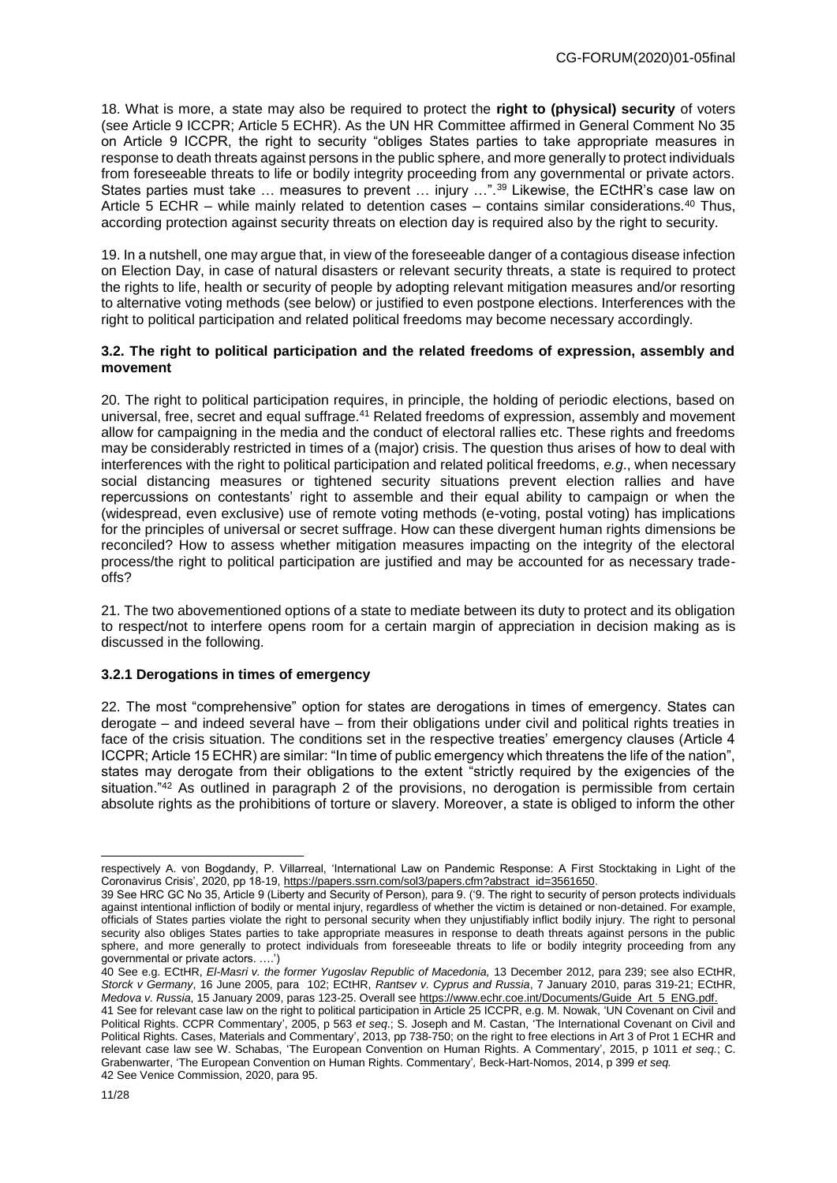18. What is more, a state may also be required to protect the **right to (physical) security** of voters (see Article 9 ICCPR; Article 5 ECHR). As the UN HR Committee affirmed in General Comment No 35 on Article 9 ICCPR, the right to security "obliges States parties to take appropriate measures in response to death threats against persons in the public sphere, and more generally to protect individuals from foreseeable threats to life or bodily integrity proceeding from any governmental or private actors. States parties must take ... measures to prevent ... injury ...".<sup>39</sup> Likewise, the ECtHR's case law on Article 5 ECHR – while mainly related to detention cases – contains similar considerations.<sup>40</sup> Thus, according protection against security threats on election day is required also by the right to security.

19. In a nutshell, one may argue that, in view of the foreseeable danger of a contagious disease infection on Election Day, in case of natural disasters or relevant security threats, a state is required to protect the rights to life, health or security of people by adopting relevant mitigation measures and/or resorting to alternative voting methods (see below) or justified to even postpone elections. Interferences with the right to political participation and related political freedoms may become necessary accordingly.

#### **3.2. The right to political participation and the related freedoms of expression, assembly and movement**

20. The right to political participation requires, in principle, the holding of periodic elections, based on universal, free, secret and equal suffrage.<sup>41</sup> Related freedoms of expression, assembly and movement allow for campaigning in the media and the conduct of electoral rallies etc. These rights and freedoms may be considerably restricted in times of a (major) crisis. The question thus arises of how to deal with interferences with the right to political participation and related political freedoms, *e.g*., when necessary social distancing measures or tightened security situations prevent election rallies and have repercussions on contestants' right to assemble and their equal ability to campaign or when the (widespread, even exclusive) use of remote voting methods (e-voting, postal voting) has implications for the principles of universal or secret suffrage. How can these divergent human rights dimensions be reconciled? How to assess whether mitigation measures impacting on the integrity of the electoral process/the right to political participation are justified and may be accounted for as necessary tradeoffs?

21. The two abovementioned options of a state to mediate between its duty to protect and its obligation to respect/not to interfere opens room for a certain margin of appreciation in decision making as is discussed in the following.

#### **3.2.1 Derogations in times of emergency**

22. The most "comprehensive" option for states are derogations in times of emergency. States can derogate – and indeed several have – from their obligations under civil and political rights treaties in face of the crisis situation. The conditions set in the respective treaties' emergency clauses (Article 4 ICCPR; Article 15 ECHR) are similar: "In time of public emergency which threatens the life of the nation", states may derogate from their obligations to the extent "strictly required by the exigencies of the situation."<sup>42</sup> As outlined in paragraph 2 of the provisions, no derogation is permissible from certain absolute rights as the prohibitions of torture or slavery. Moreover, a state is obliged to inform the other

respectively A. von Bogdandy, P. Villarreal, 'International Law on Pandemic Response: A First Stocktaking in Light of the Coronavirus Crisis', 2020, pp 18-19, https://papers.ssrn.com/sol3/papers.cfm?abstract\_id=3561650.

<sup>39</sup> See HRC GC No 35, Article 9 (Liberty and Security of Person), para 9. ('9. The right to security of person protects individuals against intentional infliction of bodily or mental injury, regardless of whether the victim is detained or non-detained. For example, officials of States parties violate the right to personal security when they unjustifiably inflict bodily injury. The right to personal security also obliges States parties to take appropriate measures in response to death threats against persons in the public sphere, and more generally to protect individuals from foreseeable threats to life or bodily integrity proceeding from any governmental or private actors. ….')

<sup>40</sup> See e.g. ECtHR, *El-Masri v. the former Yugoslav Republic of Macedonia,* 13 December 2012, para 239; see also ECtHR, *Storck v Germany*, 16 June 2005, para 102; ECtHR, *Rantsev v. Cyprus and Russia*, 7 January 2010, paras 319-21; ECtHR, *Medova v. Russia*, 15 January 2009, paras 123-25. Overall se[e https://www.echr.coe.int/Documents/Guide\\_Art\\_5\\_ENG.pdf.](https://www.echr.coe.int/Documents/Guide_Art_5_ENG.pdf)

<sup>41</sup> See for relevant case law on the right to political participation in Article 25 ICCPR, e.g. M. Nowak, 'UN Covenant on Civil and Political Rights. CCPR Commentary', 2005, p 563 *et seq*.; S. Joseph and M. Castan, 'The International Covenant on Civil and Political Rights. Cases, Materials and Commentary', 2013, pp 738-750; on the right to free elections in Art 3 of Prot 1 ECHR and relevant case law see W. Schabas, 'The European Convention on Human Rights. A Commentary', 2015, p 1011 *et seq.*; C. Grabenwarter, 'The European Convention on Human Rights. Commentary'*,* Beck-Hart-Nomos, 2014, p 399 *et seq.* 42 See Venice Commission, 2020, para 95.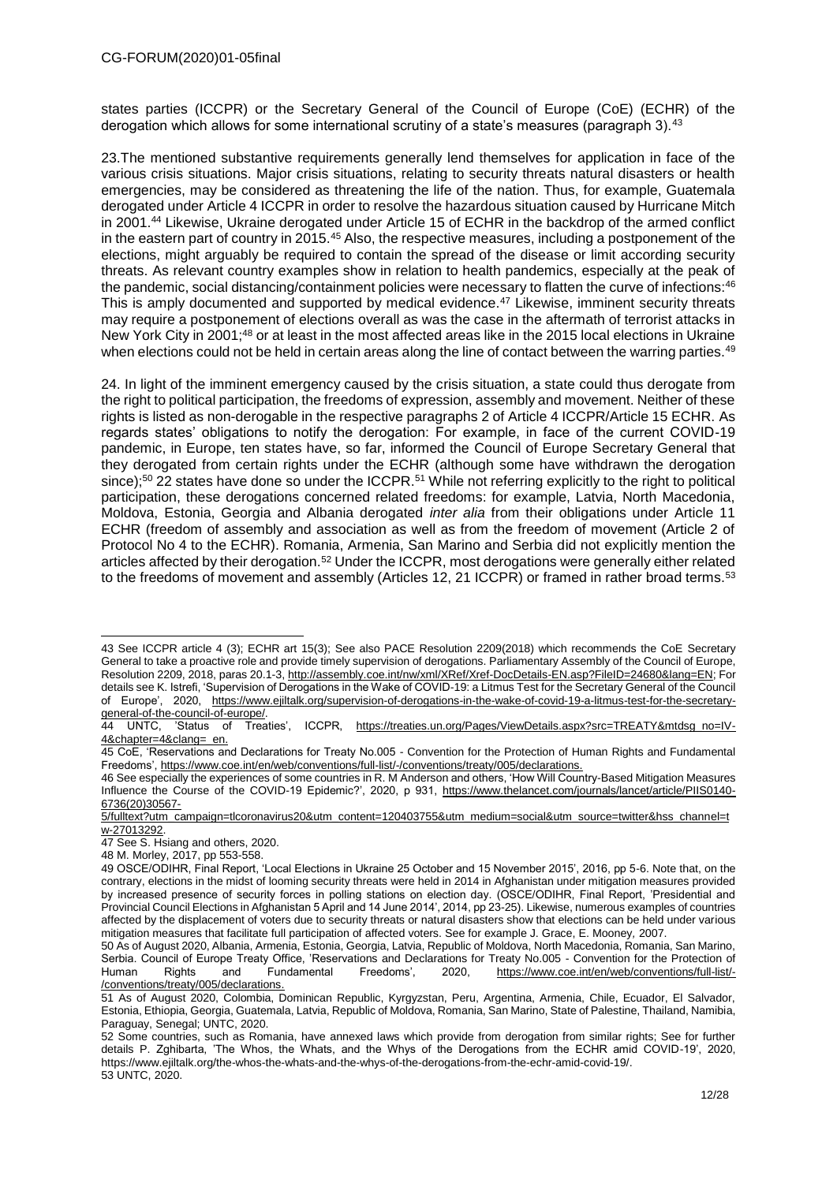states parties (ICCPR) or the Secretary General of the Council of Europe (CoE) (ECHR) of the derogation which allows for some international scrutiny of a state's measures (paragraph 3).<sup>43</sup>

23.The mentioned substantive requirements generally lend themselves for application in face of the various crisis situations. Major crisis situations, relating to security threats natural disasters or health emergencies, may be considered as threatening the life of the nation. Thus, for example, Guatemala derogated under Article 4 ICCPR in order to resolve the hazardous situation caused by Hurricane Mitch in 2001.<sup>44</sup> Likewise, Ukraine derogated under Article 15 of ECHR in the backdrop of the armed conflict in the eastern part of country in 2015.<sup>45</sup> Also, the respective measures, including a postponement of the elections, might arguably be required to contain the spread of the disease or limit according security threats. As relevant country examples show in relation to health pandemics, especially at the peak of the pandemic, social distancing/containment policies were necessary to flatten the curve of infections:<sup>46</sup> This is amply documented and supported by medical evidence.<sup>47</sup> Likewise, imminent security threats may require a postponement of elections overall as was the case in the aftermath of terrorist attacks in New York City in 2001;<sup>48</sup> or at least in the most affected areas like in the 2015 local elections in Ukraine when elections could not be held in certain areas along the line of contact between the warring parties.<sup>49</sup>

24. In light of the imminent emergency caused by the crisis situation, a state could thus derogate from the right to political participation, the freedoms of expression, assembly and movement. Neither of these rights is listed as non-derogable in the respective paragraphs 2 of Article 4 ICCPR/Article 15 ECHR. As regards states' obligations to notify the derogation: For example, in face of the current COVID-19 pandemic, in Europe, ten states have, so far, informed the Council of Europe Secretary General that they derogated from certain rights under the ECHR (although some have withdrawn the derogation since);<sup>50</sup> 22 states have done so under the ICCPR.<sup>51</sup> While not referring explicitly to the right to political participation, these derogations concerned related freedoms: for example, Latvia, North Macedonia, Moldova, Estonia, Georgia and Albania derogated *inter alia* from their obligations under Article 11 ECHR (freedom of assembly and association as well as from the freedom of movement (Article 2 of Protocol No 4 to the ECHR). Romania, Armenia, San Marino and Serbia did not explicitly mention the articles affected by their derogation.<sup>52</sup> Under the ICCPR, most derogations were generally either related to the freedoms of movement and assembly (Articles 12, 21 ICCPR) or framed in rather broad terms.<sup>53</sup>

<sup>43</sup> See ICCPR article 4 (3); ECHR art 15(3); See also PACE Resolution 2209(2018) which recommends the CoE Secretary General to take a proactive role and provide timely supervision of derogations. Parliamentary Assembly of the Council of Europe, Resolution 2209, 2018, paras 20.1-3[, http://assembly.coe.int/nw/xml/XRef/Xref-DocDetails-EN.asp?FileID=24680&lang=EN;](http://assembly.coe.int/nw/xml/XRef/Xref-DocDetails-EN.asp?FileID=24680&lang=EN) For details see K. Istrefi, 'Supervision of Derogations in the Wake of COVID-19: a Litmus Test for the Secretary General of the Council of Europe', 2020, [https://www.ejiltalk.org/supervision-of-derogations-in-the-wake-of-covid-19-a-litmus-test-for-the-secretary](https://www.ejiltalk.org/supervision-of-derogations-in-the-wake-of-covid-19-a-litmus-test-for-the-secretary-general-of-the-council-of-europe/)general-of-the-council-of-europe/.<br>44 UNTC, 'Status of Treat

<sup>44</sup> UNTC, 'Status of Treaties', ICCPR, [https://treaties.un.org/Pages/ViewDetails.aspx?src=TREATY&mtdsg\\_no=IV-](https://treaties.un.org/Pages/ViewDetails.aspx?src=TREATY&mtdsg_no=IV-4&chapter=4&clang=_en)[4&chapter=4&clang=\\_en.](https://treaties.un.org/Pages/ViewDetails.aspx?src=TREATY&mtdsg_no=IV-4&chapter=4&clang=_en)

<sup>45</sup> CoE, 'Reservations and Declarations for Treaty No.005 - Convention for the Protection of Human Rights and Fundamental Freedoms'[, https://www.coe.int/en/web/conventions/full-list/-/conventions/treaty/005/declarations.](https://www.coe.int/en/web/conventions/full-list/-/conventions/treaty/005/declarations)

<sup>46</sup> See especially the experiences of some countries in R. M Anderson and others, 'How Will Country-Based Mitigation Measures Influence the Course of the COVID-19 Epidemic?', 2020, p 931, [https://www.thelancet.com/journals/lancet/article/PIIS0140-](https://www.thelancet.com/journals/lancet/article/PIIS0140-6736(20)30567-5/fulltext?utm_campaign=tlcoronavirus20&utm_content=120403755&utm_medium=social&utm_source=twitter&hss_channel=tw-27013292) [6736\(20\)30567-](https://www.thelancet.com/journals/lancet/article/PIIS0140-6736(20)30567-5/fulltext?utm_campaign=tlcoronavirus20&utm_content=120403755&utm_medium=social&utm_source=twitter&hss_channel=tw-27013292)

[<sup>5/</sup>fulltext?utm\\_campaign=tlcoronavirus20&utm\\_content=120403755&utm\\_medium=social&utm\\_source=twitter&hss\\_channel=t](https://www.thelancet.com/journals/lancet/article/PIIS0140-6736(20)30567-5/fulltext?utm_campaign=tlcoronavirus20&utm_content=120403755&utm_medium=social&utm_source=twitter&hss_channel=tw-27013292) [w-27013292.](https://www.thelancet.com/journals/lancet/article/PIIS0140-6736(20)30567-5/fulltext?utm_campaign=tlcoronavirus20&utm_content=120403755&utm_medium=social&utm_source=twitter&hss_channel=tw-27013292)

<sup>47</sup> See S. Hsiang and others, 2020.

<sup>48</sup> M. Morley, 2017, pp 553-558.

<sup>49</sup> OSCE/ODIHR, Final Report, 'Local Elections in Ukraine 25 October and 15 November 2015', 2016, pp 5-6. Note that, on the contrary, elections in the midst of looming security threats were held in 2014 in Afghanistan under mitigation measures provided by increased presence of security forces in polling stations on election day. (OSCE/ODIHR, Final Report, 'Presidential and Provincial Council Elections in Afghanistan 5 April and 14 June 2014', 2014, pp 23-25). Likewise, numerous examples of countries affected by the displacement of voters due to security threats or natural disasters show that elections can be held under various mitigation measures that facilitate full participation of affected voters. See for example J. Grace, E. Mooney*,* 2007.

<sup>50</sup> As of August 2020, Albania, Armenia, Estonia, Georgia, Latvia, Republic of Moldova, North Macedonia, Romania, San Marino, Serbia. Council of Europe Treaty Office, 'Reservations and Declarations for Treaty No.005 - Convention for the Protection of<br>Human Rights and Fundamental Freedoms'. 2020. https://www.coe.int/en/web/conventions/full-list/Human Rights and Fundamental Freedoms', 2020, [https://www.coe.int/en/web/conventions/full-list/-](https://www.coe.int/en/web/conventions/full-list/-/conventions/treaty/005/declarations) [/conventions/treaty/005/declarations.](https://www.coe.int/en/web/conventions/full-list/-/conventions/treaty/005/declarations)

<sup>51</sup> As of August 2020, Colombia, Dominican Republic, Kyrgyzstan, Peru, Argentina, Armenia, Chile, Ecuador, El Salvador, Estonia, Ethiopia, Georgia, Guatemala, Latvia, Republic of Moldova, Romania, San Marino, State of Palestine, Thailand, Namibia, Paraguay, Senegal; UNTC, 2020.

<sup>52</sup> Some countries, such as Romania, have annexed laws which provide from derogation from similar rights; See for further details P. Zghibarta, 'The Whos, the Whats, and the Whys of the Derogations from the ECHR amid COVID-19', 2020, https://www.ejiltalk.org/the-whos-the-whats-and-the-whys-of-the-derogations-from-the-echr-amid-covid-19/. 53 UNTC, 2020.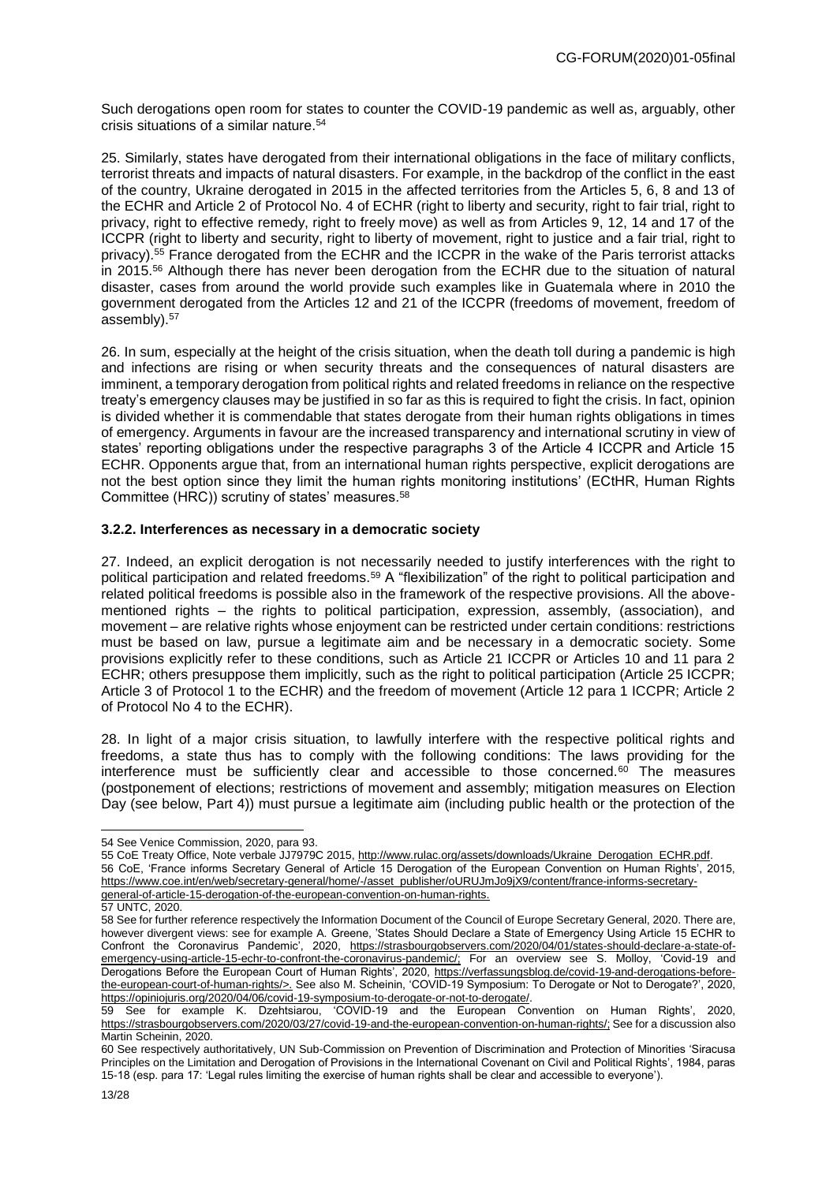Such derogations open room for states to counter the COVID-19 pandemic as well as, arguably, other crisis situations of a similar nature.<sup>54</sup>

25. Similarly, states have derogated from their international obligations in the face of military conflicts, terrorist threats and impacts of natural disasters. For example, in the backdrop of the conflict in the east of the country, Ukraine derogated in 2015 in the affected territories from the Articles 5, 6, 8 and 13 of the ECHR and Article 2 of Protocol No. 4 of ECHR (right to liberty and security, right to fair trial, right to privacy, right to effective remedy, right to freely move) as well as from Articles 9, 12, 14 and 17 of the ICCPR (right to liberty and security, right to liberty of movement, right to justice and a fair trial, right to privacy).<sup>55</sup> France derogated from the ECHR and the ICCPR in the wake of the Paris terrorist attacks in 2015.<sup>56</sup> Although there has never been derogation from the ECHR due to the situation of natural disaster, cases from around the world provide such examples like in Guatemala where in 2010 the government derogated from the Articles 12 and 21 of the ICCPR (freedoms of movement, freedom of assembly).<sup>57</sup>

26. In sum, especially at the height of the crisis situation, when the death toll during a pandemic is high and infections are rising or when security threats and the consequences of natural disasters are imminent, a temporary derogation from political rights and related freedoms in reliance on the respective treaty's emergency clauses may be justified in so far as this is required to fight the crisis. In fact, opinion is divided whether it is commendable that states derogate from their human rights obligations in times of emergency. Arguments in favour are the increased transparency and international scrutiny in view of states' reporting obligations under the respective paragraphs 3 of the Article 4 ICCPR and Article 15 ECHR. Opponents argue that, from an international human rights perspective, explicit derogations are not the best option since they limit the human rights monitoring institutions' (ECtHR, Human Rights Committee (HRC)) scrutiny of states' measures.<sup>58</sup>

# **3.2.2. Interferences as necessary in a democratic society**

27. Indeed, an explicit derogation is not necessarily needed to justify interferences with the right to political participation and related freedoms.<sup>59</sup> A "flexibilization" of the right to political participation and related political freedoms is possible also in the framework of the respective provisions. All the abovementioned rights – the rights to political participation, expression, assembly, (association), and movement – are relative rights whose enjoyment can be restricted under certain conditions: restrictions must be based on law, pursue a legitimate aim and be necessary in a democratic society. Some provisions explicitly refer to these conditions, such as Article 21 ICCPR or Articles 10 and 11 para 2 ECHR; others presuppose them implicitly, such as the right to political participation (Article 25 ICCPR; Article 3 of Protocol 1 to the ECHR) and the freedom of movement (Article 12 para 1 ICCPR; Article 2 of Protocol No 4 to the ECHR).

28. In light of a major crisis situation, to lawfully interfere with the respective political rights and freedoms, a state thus has to comply with the following conditions: The laws providing for the interference must be sufficiently clear and accessible to those concerned. $60$  The measures (postponement of elections; restrictions of movement and assembly; mitigation measures on Election Day (see below, Part 4)) must pursue a legitimate aim (including public health or the protection of the

55 CoE Treaty Office, Note verbale JJ7979C 2015, http://www.rulac.org/assets/downloads/Ukraine\_Derogation\_ECHR.pdf. 56 CoE, 'France informs Secretary General of Article 15 Derogation of the European Convention on Human Rights', 2015, https://www.coe.int/en/web/secretary-general/home/-/asset\_publisher/oURUJmJo9jX9/content/france-informs-secretarygeneral-of-article-15-derogation-of-the-european-convention-on-human-rights.

<sup>54</sup> See Venice Commission, 2020, para 93.

<sup>57</sup> UNTC, 2020.

<sup>58</sup> See for further reference respectively the Information Document of the Council of Europe Secretary General, 2020. There are, however divergent views: see for example A. Greene, 'States Should Declare a State of Emergency Using Article 15 ECHR to Confront the Coronavirus Pandemic', 2020, https://strasbourgobservers.com/2020/04/01/states-should-declare-a-state-ofemergency-using-article-15-echr-to-confront-the-coronavirus-pandemic/; For an overview see S. Molloy, 'Covid-19 and Derogations Before the European Court of Human Rights', 2020, https://verfassungsblog.de/covid-19-and-derogations-beforethe-european-court-of-human-rights/>. See also M. Scheinin, 'COVID-19 Symposium: To Derogate or Not to Derogate?', 2020, [https://opiniojuris.org/2020/04/06/covid-19-symposium-to-derogate-or-not-to-derogate/.](https://opiniojuris.org/2020/04/06/covid-19-symposium-to-derogate-or-not-to-derogate/)

<sup>59</sup> See for example K. Dzehtsiarou, 'COVID-19 and the European Convention on Human Rights', 2020, https://strasbourgobservers.com/2020/03/27/covid-19-and-the-european-convention-on-human-rights/; See for a discussion also Martin Scheinin, 2020.

<sup>60</sup> See respectively authoritatively, UN Sub-Commission on Prevention of Discrimination and Protection of Minorities 'Siracusa Principles on the Limitation and Derogation of Provisions in the International Covenant on Civil and Political Rights', 1984, paras 15-18 (esp. para 17: 'Legal rules limiting the exercise of human rights shall be clear and accessible to everyone').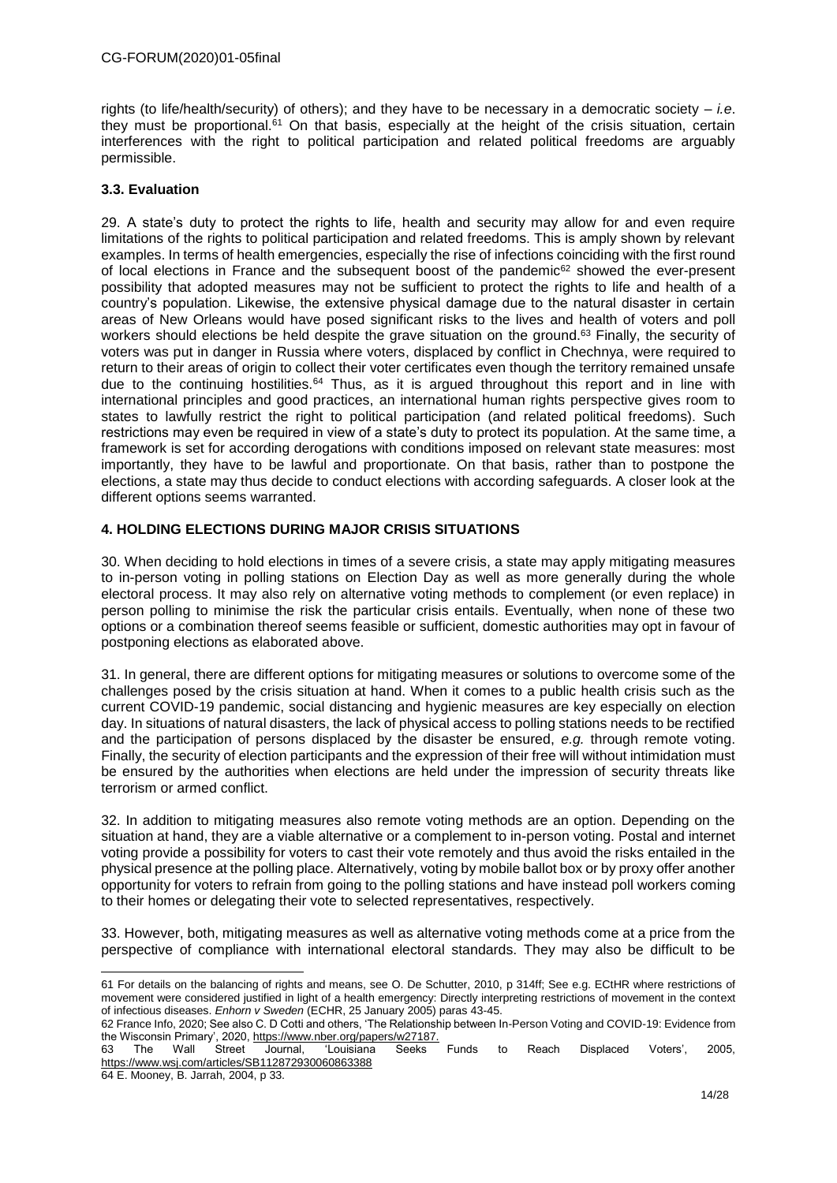rights (to life/health/security) of others); and they have to be necessary in a democratic society – *i.e*. they must be proportional.<sup>61</sup> On that basis, especially at the height of the crisis situation, certain interferences with the right to political participation and related political freedoms are arguably permissible.

#### **3.3. Evaluation**

29. A state's duty to protect the rights to life, health and security may allow for and even require limitations of the rights to political participation and related freedoms. This is amply shown by relevant examples. In terms of health emergencies, especially the rise of infections coinciding with the first round of local elections in France and the subsequent boost of the pandemic<sup>62</sup> showed the ever-present possibility that adopted measures may not be sufficient to protect the rights to life and health of a country's population. Likewise, the extensive physical damage due to the natural disaster in certain areas of New Orleans would have posed significant risks to the lives and health of voters and poll workers should elections be held despite the grave situation on the ground.<sup>63</sup> Finally, the security of voters was put in danger in Russia where voters, displaced by conflict in Chechnya, were required to return to their areas of origin to collect their voter certificates even though the territory remained unsafe due to the continuing hostilities.<sup>64</sup> Thus, as it is argued throughout this report and in line with international principles and good practices, an international human rights perspective gives room to states to lawfully restrict the right to political participation (and related political freedoms). Such restrictions may even be required in view of a state's duty to protect its population. At the same time, a framework is set for according derogations with conditions imposed on relevant state measures: most importantly, they have to be lawful and proportionate. On that basis, rather than to postpone the elections, a state may thus decide to conduct elections with according safeguards. A closer look at the different options seems warranted.

## **4. HOLDING ELECTIONS DURING MAJOR CRISIS SITUATIONS**

30. When deciding to hold elections in times of a severe crisis, a state may apply mitigating measures to in-person voting in polling stations on Election Day as well as more generally during the whole electoral process. It may also rely on alternative voting methods to complement (or even replace) in person polling to minimise the risk the particular crisis entails. Eventually, when none of these two options or a combination thereof seems feasible or sufficient, domestic authorities may opt in favour of postponing elections as elaborated above.

31. In general, there are different options for mitigating measures or solutions to overcome some of the challenges posed by the crisis situation at hand. When it comes to a public health crisis such as the current COVID-19 pandemic, social distancing and hygienic measures are key especially on election day. In situations of natural disasters, the lack of physical access to polling stations needs to be rectified and the participation of persons displaced by the disaster be ensured, *e.g.* through remote voting. Finally, the security of election participants and the expression of their free will without intimidation must be ensured by the authorities when elections are held under the impression of security threats like terrorism or armed conflict.

32. In addition to mitigating measures also remote voting methods are an option. Depending on the situation at hand, they are a viable alternative or a complement to in-person voting. Postal and internet voting provide a possibility for voters to cast their vote remotely and thus avoid the risks entailed in the physical presence at the polling place. Alternatively, voting by mobile ballot box or by proxy offer another opportunity for voters to refrain from going to the polling stations and have instead poll workers coming to their homes or delegating their vote to selected representatives, respectively.

33. However, both, mitigating measures as well as alternative voting methods come at a price from the perspective of compliance with international electoral standards. They may also be difficult to be

63 The Wall Street Journal, 'Louisiana Seeks Funds to Reach Displaced Voters', 2005, <https://www.wsj.com/articles/SB112872930060863388>

64 E. Mooney, B. Jarrah, 2004, p 33.

<sup>-</sup>61 For details on the balancing of rights and means, see O. De Schutter, 2010, p 314ff; See e.g. ECtHR where restrictions of movement were considered justified in light of a health emergency: Directly interpreting restrictions of movement in the context of infectious diseases. *Enhorn v Sweden* (ECHR, 25 January 2005) paras 43-45.

<sup>62</sup> France Info, 2020; See also C. D Cotti and others, 'The Relationship between In-Person Voting and COVID-19: Evidence from the Wisconsin Primary', 2020, https://www.nber.org/papers/w27187.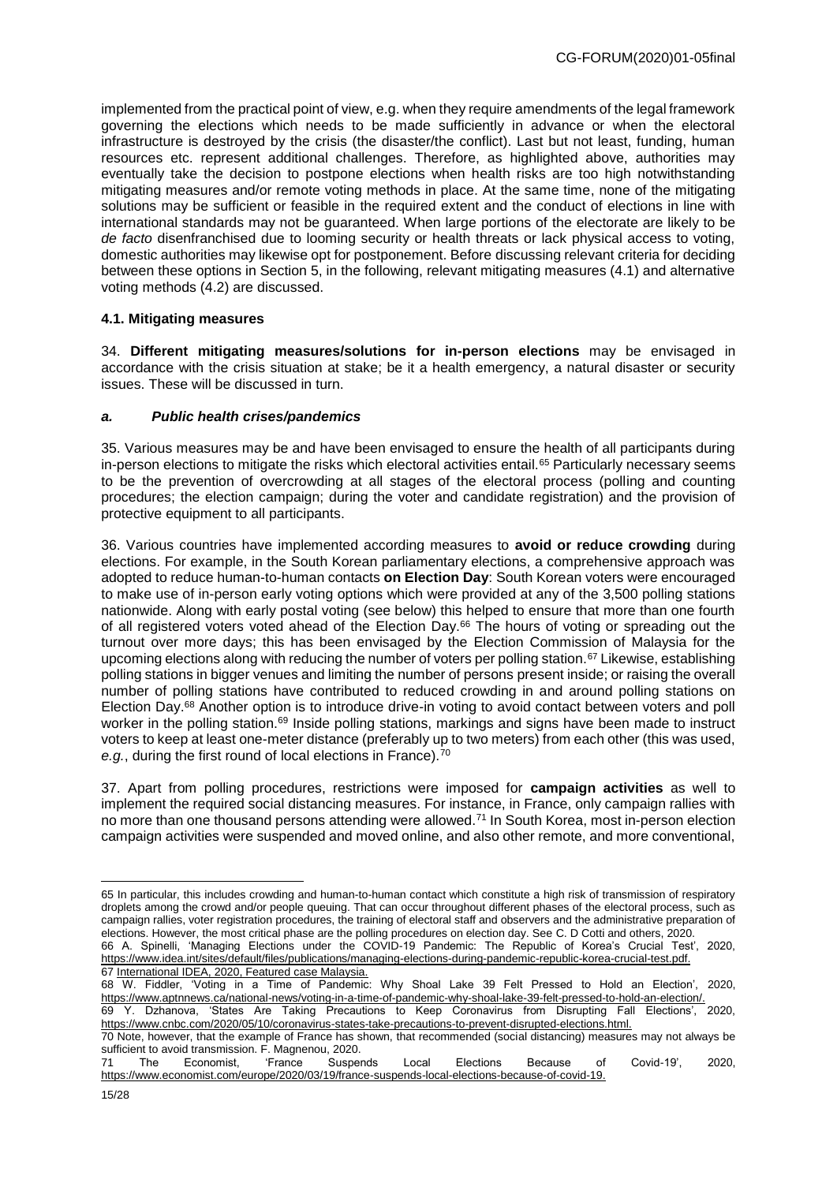implemented from the practical point of view, e.g. when they require amendments of the legal framework governing the elections which needs to be made sufficiently in advance or when the electoral infrastructure is destroyed by the crisis (the disaster/the conflict). Last but not least, funding, human resources etc. represent additional challenges. Therefore, as highlighted above, authorities may eventually take the decision to postpone elections when health risks are too high notwithstanding mitigating measures and/or remote voting methods in place. At the same time, none of the mitigating solutions may be sufficient or feasible in the required extent and the conduct of elections in line with international standards may not be guaranteed. When large portions of the electorate are likely to be *de facto* disenfranchised due to looming security or health threats or lack physical access to voting, domestic authorities may likewise opt for postponement. Before discussing relevant criteria for deciding between these options in Section 5, in the following, relevant mitigating measures (4.1) and alternative voting methods (4.2) are discussed.

#### **4.1. Mitigating measures**

34. **Different mitigating measures/solutions for in-person elections** may be envisaged in accordance with the crisis situation at stake; be it a health emergency, a natural disaster or security issues. These will be discussed in turn.

#### *a. Public health crises/pandemics*

35. Various measures may be and have been envisaged to ensure the health of all participants during in-person elections to mitigate the risks which electoral activities entail.<sup>65</sup> Particularly necessary seems to be the prevention of overcrowding at all stages of the electoral process (polling and counting procedures; the election campaign; during the voter and candidate registration) and the provision of protective equipment to all participants.

36. Various countries have implemented according measures to **avoid or reduce crowding** during elections. For example, in the South Korean parliamentary elections, a comprehensive approach was adopted to reduce human-to-human contacts **on Election Day**: South Korean voters were encouraged to make use of in-person early voting options which were provided at any of the 3,500 polling stations nationwide. Along with early postal voting (see below) this helped to ensure that more than one fourth of all registered voters voted ahead of the Election Day.<sup>66</sup> The hours of voting or spreading out the turnout over more days; this has been envisaged by the Election Commission of Malaysia for the upcoming elections along with reducing the number of voters per polling station.<sup>67</sup> Likewise, establishing polling stations in bigger venues and limiting the number of persons present inside; or raising the overall number of polling stations have contributed to reduced crowding in and around polling stations on Election Day. <sup>68</sup> Another option is to introduce drive-in voting to avoid contact between voters and poll worker in the polling station.<sup>69</sup> Inside polling stations, markings and signs have been made to instruct voters to keep at least one-meter distance (preferably up to two meters) from each other (this was used, *e.g.*, during the first round of local elections in France).<sup>70</sup>

37. Apart from polling procedures, restrictions were imposed for **campaign activities** as well to implement the required social distancing measures. For instance, in France, only campaign rallies with no more than one thousand persons attending were allowed.<sup>71</sup> In South Korea, most in-person election campaign activities were suspended and moved online, and also other remote, and more conventional,

<sup>65</sup> In particular, this includes crowding and human-to-human contact which constitute a high risk of transmission of respiratory droplets among the crowd and/or people queuing. That can occur throughout different phases of the electoral process, such as campaign rallies, voter registration procedures, the training of electoral staff and observers and the administrative preparation of elections. However, the most critical phase are the polling procedures on election day. See C. D Cotti and others, 2020.

<sup>66</sup> A. Spinelli, 'Managing Elections under the COVID-19 Pandemic: The Republic of Korea's Crucial Test', 2020, https://www.idea.int/sites/default/files/publications/managing-elections-during-pandemic-republic-korea-crucial-test.pdf. 67 International IDEA, 2020, Featured case Malaysia.

<sup>68</sup> W. Fiddler, 'Voting in a Time of Pandemic: Why Shoal Lake 39 Felt Pressed to Hold an Election', 2020, https://www.aptnnews.ca/national-news/voting-in-a-time-of-pandemic-why-shoal-lake-39-felt-pressed-to-hold-an-election/. 69 Y. Dzhanova, 'States Are Taking Precautions to Keep Coronavirus from Disrupting Fall Elections', 2020,

https://www.cnbc.com/2020/05/10/coronavirus-states-take-precautions-to-prevent-disrupted-elections.html.

<sup>70</sup> Note, however, that the example of France has shown, that recommended (social distancing) measures may not always be sufficient to avoid transmission. F. Magnenou, 2020.<br>71 The Economist. France Suspends

<sup>71</sup> The Economist, 'France Suspends Local Elections Because of Covid-19', 2020, https://www.economist.com/europe/2020/03/19/france-suspends-local-elections-because-of-covid-19.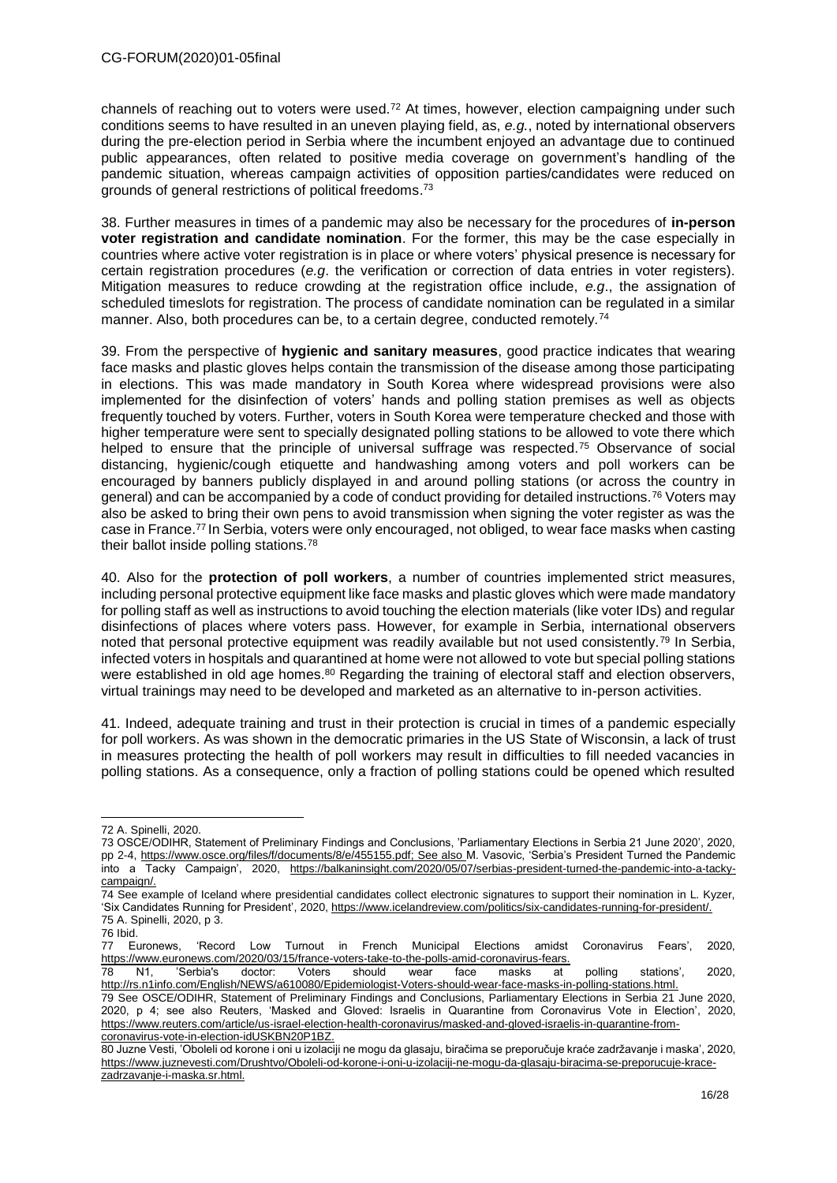channels of reaching out to voters were used.<sup>72</sup> At times, however, election campaigning under such conditions seems to have resulted in an uneven playing field, as, *e.g.*, noted by international observers during the pre-election period in Serbia where the incumbent enjoyed an advantage due to continued public appearances, often related to positive media coverage on government's handling of the pandemic situation, whereas campaign activities of opposition parties/candidates were reduced on grounds of general restrictions of political freedoms.<sup>73</sup>

38. Further measures in times of a pandemic may also be necessary for the procedures of **in-person voter registration and candidate nomination**. For the former, this may be the case especially in countries where active voter registration is in place or where voters' physical presence is necessary for certain registration procedures (*e.g*. the verification or correction of data entries in voter registers). Mitigation measures to reduce crowding at the registration office include, *e.g*., the assignation of scheduled timeslots for registration. The process of candidate nomination can be regulated in a similar manner. Also, both procedures can be, to a certain degree, conducted remotely.<sup>74</sup>

39. From the perspective of **hygienic and sanitary measures**, good practice indicates that wearing face masks and plastic gloves helps contain the transmission of the disease among those participating in elections. This was made mandatory in South Korea where widespread provisions were also implemented for the disinfection of voters' hands and polling station premises as well as objects frequently touched by voters. Further, voters in South Korea were temperature checked and those with higher temperature were sent to specially designated polling stations to be allowed to vote there which helped to ensure that the principle of universal suffrage was respected.<sup>75</sup> Observance of social distancing, hygienic/cough etiquette and handwashing among voters and poll workers can be encouraged by banners publicly displayed in and around polling stations (or across the country in general) and can be accompanied by a code of conduct providing for detailed instructions.<sup>76</sup> Voters may also be asked to bring their own pens to avoid transmission when signing the voter register as was the case in France.<sup>77</sup> In Serbia, voters were only encouraged, not obliged, to wear face masks when casting their ballot inside polling stations.<sup>78</sup>

40. Also for the **protection of poll workers**, a number of countries implemented strict measures, including personal protective equipment like face masks and plastic gloves which were made mandatory for polling staff as well as instructions to avoid touching the election materials (like voter IDs) and regular disinfections of places where voters pass. However, for example in Serbia, international observers noted that personal protective equipment was readily available but not used consistently.<sup>79</sup> In Serbia, infected voters in hospitals and quarantined at home were not allowed to vote but special polling stations were established in old age homes.<sup>80</sup> Regarding the training of electoral staff and election observers, virtual trainings may need to be developed and marketed as an alternative to in-person activities.

41. Indeed, adequate training and trust in their protection is crucial in times of a pandemic especially for poll workers. As was shown in the democratic primaries in the US State of Wisconsin, a lack of trust in measures protecting the health of poll workers may result in difficulties to fill needed vacancies in polling stations. As a consequence, only a fraction of polling stations could be opened which resulted

76 Ibid.

-

77 Euronews, 'Record Low Turnout in French Municipal Elections amidst Coronavirus Fears', 2020, https://www.euronews.com/2020/03/15/france-voters-take-to-the-polls-amid-coronavirus-fears.

78 N1, 'Serbia's doctor: Voters should wear face masks at polling stations', 2020, [http://rs.n1info.com/English/NEWS/a610080/Epidemiologist-Voters-should-wear-face-masks-in-polling-stations.html.](http://rs.n1info.com/English/NEWS/a610080/Epidemiologist-Voters-should-wear-face-masks-in-polling-stations.html)

79 See OSCE/ODIHR, Statement of Preliminary Findings and Conclusions, Parliamentary Elections in Serbia 21 June 2020, 2020, p 4; see also Reuters, 'Masked and Gloved: Israelis in Quarantine from Coronavirus Vote in Election', 2020, [https://www.reuters.com/article/us-israel-election-health-coronavirus/masked-and-gloved-israelis-in-quarantine-from](https://www.reuters.com/article/us-israel-election-health-coronavirus/masked-and-gloved-israelis-in-quarantine-from-coronavirus-vote-in-election-idUSKBN20P1BZ)[coronavirus-vote-in-election-idUSKBN20P1BZ.](https://www.reuters.com/article/us-israel-election-health-coronavirus/masked-and-gloved-israelis-in-quarantine-from-coronavirus-vote-in-election-idUSKBN20P1BZ)

<sup>72</sup> A. Spinelli, 2020.

<sup>73</sup> OSCE/ODIHR, Statement of Preliminary Findings and Conclusions, 'Parliamentary Elections in Serbia 21 June 2020', 2020, pp 2-4, [https://www.osce.org/files/f/documents/8/e/455155.pdf;](https://www.osce.org/files/f/documents/8/e/455155.pdf) See also M. Vasovic, 'Serbia's President Turned the Pandemic into a Tacky Campaign', 2020, https://balkaninsight.com/2020/05/07/serbias-president-turned-the-pandemic-into-a-tackycampaign/.

<sup>74</sup> See example of Iceland where presidential candidates collect electronic signatures to support their nomination in L. Kyzer, 'Six Candidates Running for President', 2020, https://www.icelandreview.com/politics/six-candidates-running-for-president/. 75 A. Spinelli, 2020, p 3.

<sup>80</sup> Juzne Vesti, 'Oboleli od korone i oni u izolaciji ne mogu da glasaju, biračima se preporučuje kraće zadržavanje i maska', 2020, [https://www.juznevesti.com/Drushtvo/Oboleli-od-korone-i-oni-u-izolaciji-ne-mogu-da-glasaju-biracima-se-preporucuje-krace](https://www.juznevesti.com/Drushtvo/Oboleli-od-korone-i-oni-u-izolaciji-ne-mogu-da-glasaju-biracima-se-preporucuje-krace-zadrzavanje-i-maska.sr.html)[zadrzavanje-i-maska.sr.html.](https://www.juznevesti.com/Drushtvo/Oboleli-od-korone-i-oni-u-izolaciji-ne-mogu-da-glasaju-biracima-se-preporucuje-krace-zadrzavanje-i-maska.sr.html)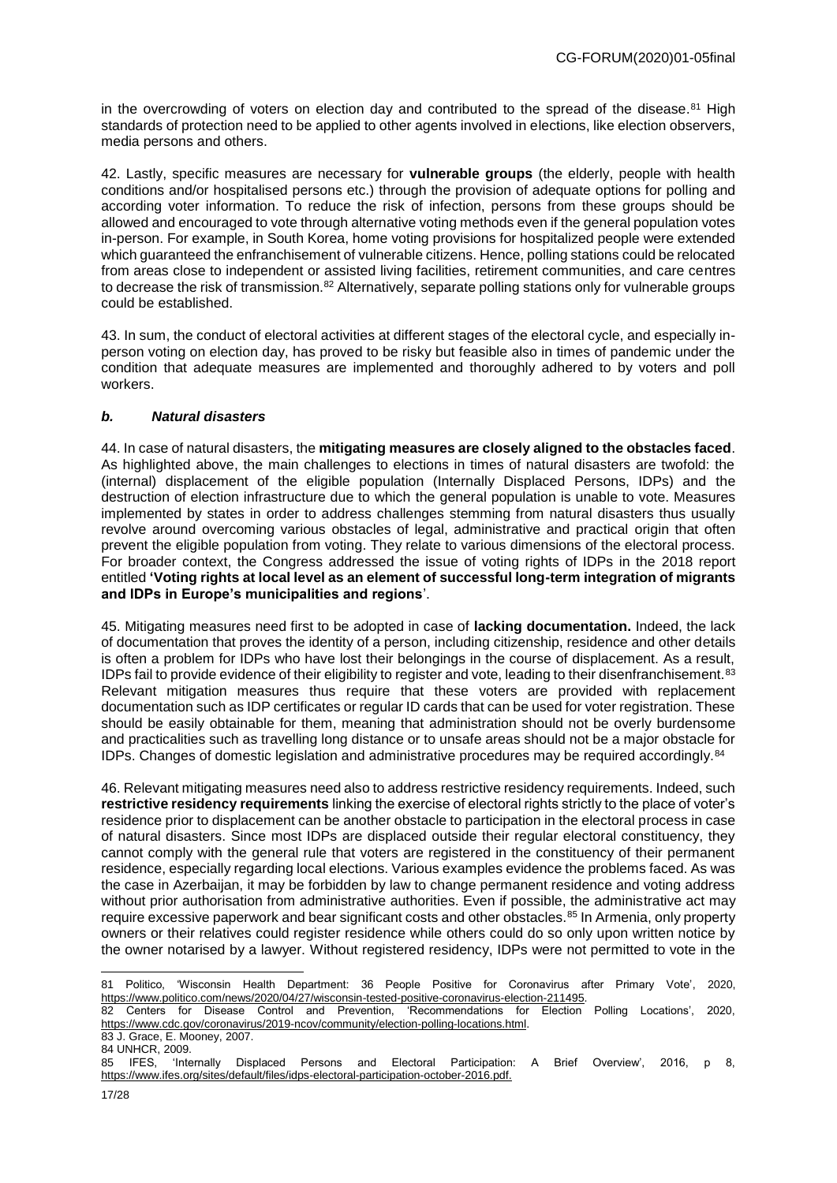in the overcrowding of voters on election day and contributed to the spread of the disease.<sup>81</sup> High standards of protection need to be applied to other agents involved in elections, like election observers, media persons and others.

42. Lastly, specific measures are necessary for **vulnerable groups** (the elderly, people with health conditions and/or hospitalised persons etc.) through the provision of adequate options for polling and according voter information. To reduce the risk of infection, persons from these groups should be allowed and encouraged to vote through alternative voting methods even if the general population votes in-person. For example, in South Korea, home voting provisions for hospitalized people were extended which guaranteed the enfranchisement of vulnerable citizens. Hence, polling stations could be relocated from areas close to independent or assisted living facilities, retirement communities, and care centres to decrease the risk of transmission.<sup>82</sup> Alternatively, separate polling stations only for vulnerable groups could be established.

43. In sum, the conduct of electoral activities at different stages of the electoral cycle, and especially inperson voting on election day, has proved to be risky but feasible also in times of pandemic under the condition that adequate measures are implemented and thoroughly adhered to by voters and poll workers.

# *b. Natural disasters*

44. In case of natural disasters, the **mitigating measures are closely aligned to the obstacles faced**. As highlighted above, the main challenges to elections in times of natural disasters are twofold: the (internal) displacement of the eligible population (Internally Displaced Persons, IDPs) and the destruction of election infrastructure due to which the general population is unable to vote. Measures implemented by states in order to address challenges stemming from natural disasters thus usually revolve around overcoming various obstacles of legal, administrative and practical origin that often prevent the eligible population from voting. They relate to various dimensions of the electoral process. For broader context, the Congress addressed the issue of voting rights of IDPs in the 2018 report entitled **'Voting rights at local level as an element of successful long-term integration of migrants and IDPs in Europe's municipalities and regions**'.

45. Mitigating measures need first to be adopted in case of **lacking documentation.** Indeed, the lack of documentation that proves the identity of a person, including citizenship, residence and other details is often a problem for IDPs who have lost their belongings in the course of displacement. As a result, IDPs fail to provide evidence of their eligibility to register and vote, leading to their disenfranchisement.<sup>83</sup> Relevant mitigation measures thus require that these voters are provided with replacement documentation such as IDP certificates or regular ID cards that can be used for voter registration. These should be easily obtainable for them, meaning that administration should not be overly burdensome and practicalities such as travelling long distance or to unsafe areas should not be a major obstacle for IDPs. Changes of domestic legislation and administrative procedures may be required accordingly.<sup>84</sup>

46. Relevant mitigating measures need also to address restrictive residency requirements. Indeed, such **restrictive residency requirements** linking the exercise of electoral rights strictly to the place of voter's residence prior to displacement can be another obstacle to participation in the electoral process in case of natural disasters. Since most IDPs are displaced outside their regular electoral constituency, they cannot comply with the general rule that voters are registered in the constituency of their permanent residence, especially regarding local elections. Various examples evidence the problems faced. As was the case in Azerbaijan, it may be forbidden by law to change permanent residence and voting address without prior authorisation from administrative authorities. Even if possible, the administrative act may require excessive paperwork and bear significant costs and other obstacles.<sup>85</sup> In Armenia, only property owners or their relatives could register residence while others could do so only upon written notice by the owner notarised by a lawyer. Without registered residency, IDPs were not permitted to vote in the

<sup>-</sup>81 Politico, 'Wisconsin Health Department: 36 People Positive for Coronavirus after Primary Vote', 2020, [https://www.politico.com/news/2020/04/27/wisconsin-tested-positive-coronavirus-election-211495.](https://www.politico.com/news/2020/04/27/wisconsin-tested-positive-coronavirus-election-211495)<br>82 Centers for Disease Control and Prevention. Recommendations for Election Polling Locations'.

<sup>82</sup> Centers for Disease Control and Prevention, 'Recommendations for Election Polling Locations', 2020, [https://www.cdc.gov/coronavirus/2019-ncov/community/election-polling-locations.html.](https://www.cdc.gov/coronavirus/2019-ncov/community/election-polling-locations.html) 

<sup>83</sup> J. Grace, E. Mooney, 2007.

<sup>84</sup> UNHCR, 2009.<br>85 JEES 'Inte 'Internally Displaced Persons and Electoral Participation: A Brief Overview', 2016, p 8, [https://www.ifes.org/sites/default/files/idps-electoral-participation-october-2016.pdf.](https://www.ifes.org/sites/default/files/idps-electoral-participation-october-2016.pdf)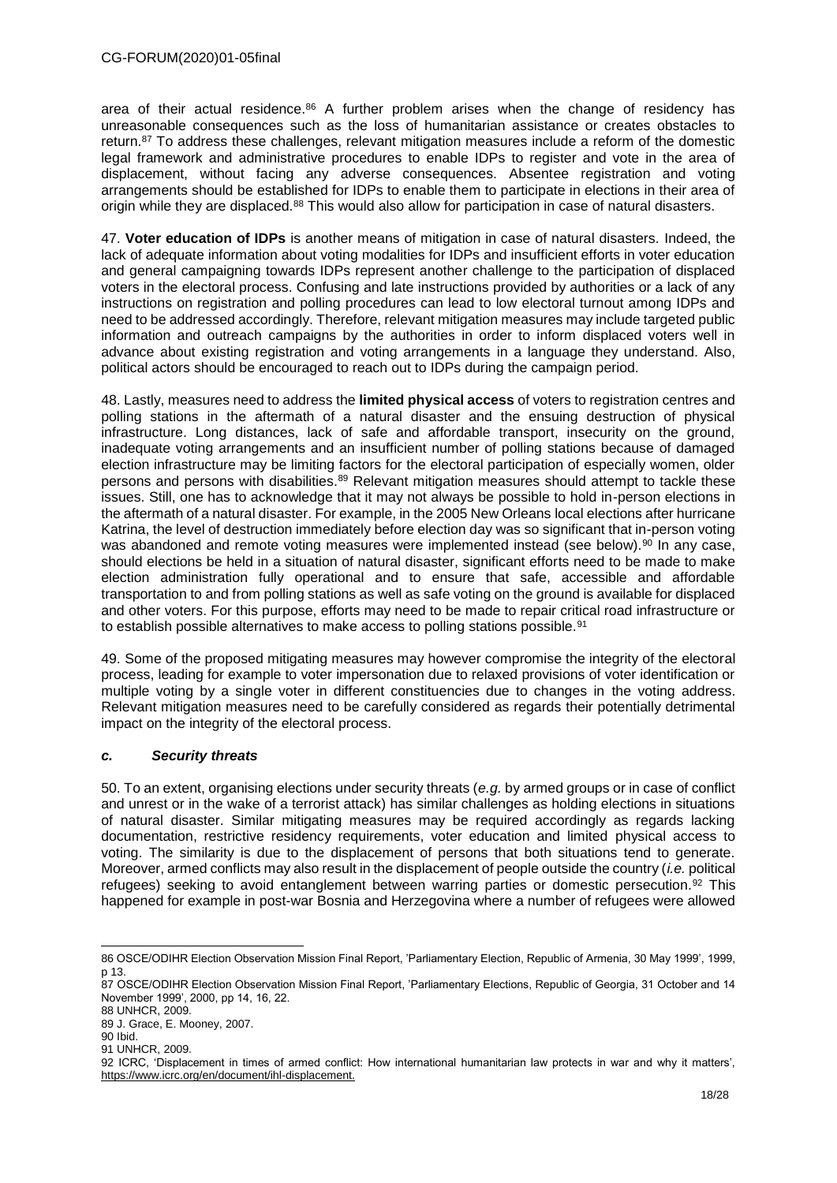area of their actual residence.<sup>86</sup> A further problem arises when the change of residency has unreasonable consequences such as the loss of humanitarian assistance or creates obstacles to return.<sup>87</sup> To address these challenges, relevant mitigation measures include a reform of the domestic legal framework and administrative procedures to enable IDPs to register and vote in the area of displacement, without facing any adverse consequences. Absentee registration and voting arrangements should be established for IDPs to enable them to participate in elections in their area of origin while they are displaced.<sup>88</sup> This would also allow for participation in case of natural disasters.

47. **Voter education of IDPs** is another means of mitigation in case of natural disasters. Indeed, the lack of adequate information about voting modalities for IDPs and insufficient efforts in voter education and general campaigning towards IDPs represent another challenge to the participation of displaced voters in the electoral process. Confusing and late instructions provided by authorities or a lack of any instructions on registration and polling procedures can lead to low electoral turnout among IDPs and need to be addressed accordingly. Therefore, relevant mitigation measures may include targeted public information and outreach campaigns by the authorities in order to inform displaced voters well in advance about existing registration and voting arrangements in a language they understand. Also, political actors should be encouraged to reach out to IDPs during the campaign period.

48. Lastly, measures need to address the **limited physical access** of voters to registration centres and polling stations in the aftermath of a natural disaster and the ensuing destruction of physical infrastructure. Long distances, lack of safe and affordable transport, insecurity on the ground, inadequate voting arrangements and an insufficient number of polling stations because of damaged election infrastructure may be limiting factors for the electoral participation of especially women, older persons and persons with disabilities. $89$  Relevant mitigation measures should attempt to tackle these issues. Still, one has to acknowledge that it may not always be possible to hold in-person elections in the aftermath of a natural disaster. For example, in the 2005 New Orleans local elections after hurricane Katrina, the level of destruction immediately before election day was so significant that in-person voting was abandoned and remote voting measures were implemented instead (see below).<sup>90</sup> In any case, should elections be held in a situation of natural disaster, significant efforts need to be made to make election administration fully operational and to ensure that safe, accessible and affordable transportation to and from polling stations as well as safe voting on the ground is available for displaced and other voters. For this purpose, efforts may need to be made to repair critical road infrastructure or to establish possible alternatives to make access to polling stations possible.<sup>91</sup>

49. Some of the proposed mitigating measures may however compromise the integrity of the electoral process, leading for example to voter impersonation due to relaxed provisions of voter identification or multiple voting by a single voter in different constituencies due to changes in the voting address. Relevant mitigation measures need to be carefully considered as regards their potentially detrimental impact on the integrity of the electoral process.

# *c. Security threats*

50. To an extent, organising elections under security threats (*e.g.* by armed groups or in case of conflict and unrest or in the wake of a terrorist attack) has similar challenges as holding elections in situations of natural disaster. Similar mitigating measures may be required accordingly as regards lacking documentation, restrictive residency requirements, voter education and limited physical access to voting. The similarity is due to the displacement of persons that both situations tend to generate. Moreover, armed conflicts may also result in the displacement of people outside the country (*i.e.* political refugees) seeking to avoid entanglement between warring parties or domestic persecution.<sup>92</sup> This happened for example in post-war Bosnia and Herzegovina where a number of refugees were allowed

<sup>-</sup>86 OSCE/ODIHR Election Observation Mission Final Report, 'Parliamentary Election, Republic of Armenia, 30 May 1999', 1999, p 13.

<sup>87</sup> OSCE/ODIHR Election Observation Mission Final Report, 'Parliamentary Elections, Republic of Georgia, 31 October and 14 November 1999', 2000, pp 14, 16, 22.

<sup>88</sup> UNHCR, 2009.

<sup>89</sup> J. Grace, E. Mooney, 2007.

<sup>90</sup> Ibid.

<sup>91</sup> UNHCR, 2009.

<sup>92</sup> ICRC, 'Displacement in times of armed conflict: How international humanitarian law protects in war and why it matters', https://www.icrc.org/en/document/ihl-displacement.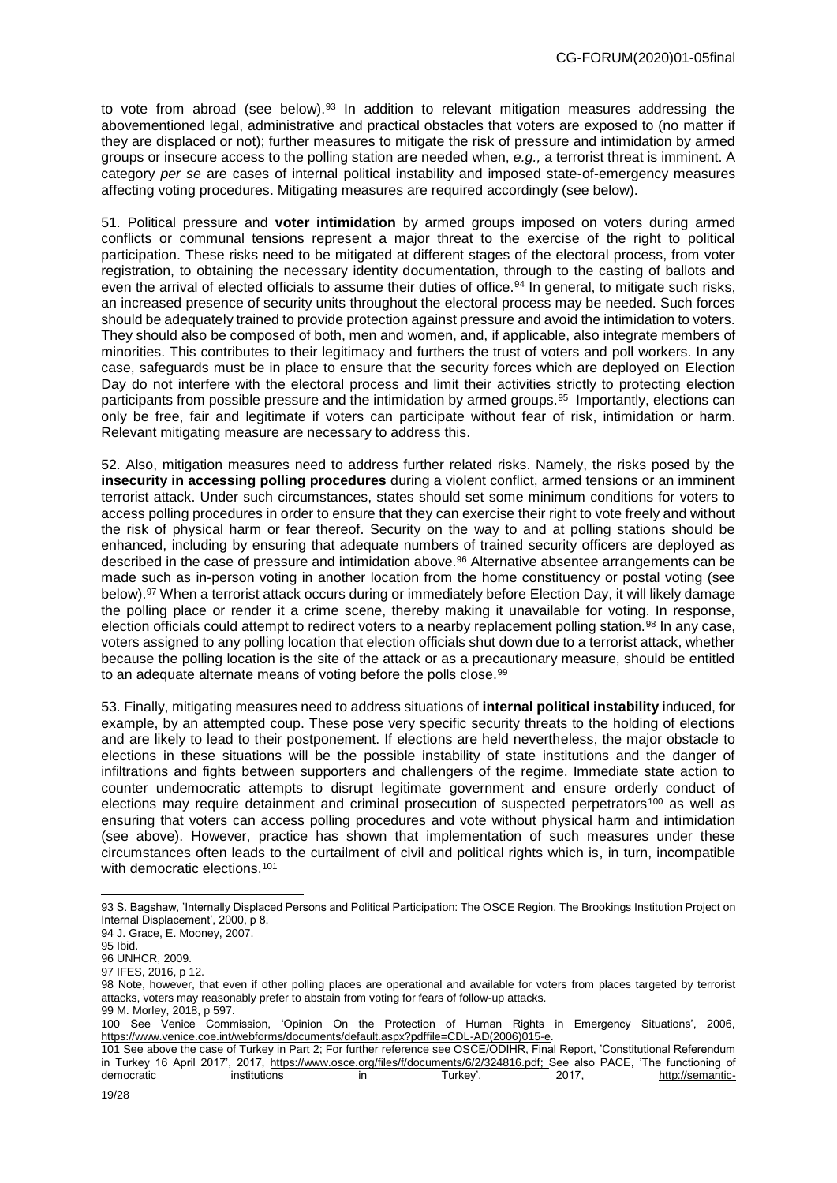to vote from abroad (see below). $93$  In addition to relevant mitigation measures addressing the abovementioned legal, administrative and practical obstacles that voters are exposed to (no matter if they are displaced or not); further measures to mitigate the risk of pressure and intimidation by armed groups or insecure access to the polling station are needed when, *e.g.,* a terrorist threat is imminent. A category *per se* are cases of internal political instability and imposed state-of-emergency measures affecting voting procedures. Mitigating measures are required accordingly (see below).

51. Political pressure and **voter intimidation** by armed groups imposed on voters during armed conflicts or communal tensions represent a major threat to the exercise of the right to political participation. These risks need to be mitigated at different stages of the electoral process, from voter registration, to obtaining the necessary identity documentation, through to the casting of ballots and even the arrival of elected officials to assume their duties of office.<sup>94</sup> In general, to mitigate such risks, an increased presence of security units throughout the electoral process may be needed. Such forces should be adequately trained to provide protection against pressure and avoid the intimidation to voters. They should also be composed of both, men and women, and, if applicable, also integrate members of minorities. This contributes to their legitimacy and furthers the trust of voters and poll workers. In any case, safeguards must be in place to ensure that the security forces which are deployed on Election Day do not interfere with the electoral process and limit their activities strictly to protecting election participants from possible pressure and the intimidation by armed groups.<sup>95</sup> Importantly, elections can only be free, fair and legitimate if voters can participate without fear of risk, intimidation or harm. Relevant mitigating measure are necessary to address this.

52. Also, mitigation measures need to address further related risks. Namely, the risks posed by the **insecurity in accessing polling procedures** during a violent conflict, armed tensions or an imminent terrorist attack. Under such circumstances, states should set some minimum conditions for voters to access polling procedures in order to ensure that they can exercise their right to vote freely and without the risk of physical harm or fear thereof. Security on the way to and at polling stations should be enhanced, including by ensuring that adequate numbers of trained security officers are deployed as described in the case of pressure and intimidation above.<sup>96</sup> Alternative absentee arrangements can be made such as in-person voting in another location from the home constituency or postal voting (see below).<sup>97</sup> When a terrorist attack occurs during or immediately before Election Day, it will likely damage the polling place or render it a crime scene, thereby making it unavailable for voting. In response, election officials could attempt to redirect voters to a nearby replacement polling station.<sup>98</sup> In any case, voters assigned to any polling location that election officials shut down due to a terrorist attack, whether because the polling location is the site of the attack or as a precautionary measure, should be entitled to an adequate alternate means of voting before the polls close.<sup>99</sup>

53. Finally, mitigating measures need to address situations of **internal political instability** induced, for example, by an attempted coup. These pose very specific security threats to the holding of elections and are likely to lead to their postponement. If elections are held nevertheless, the major obstacle to elections in these situations will be the possible instability of state institutions and the danger of infiltrations and fights between supporters and challengers of the regime. Immediate state action to counter undemocratic attempts to disrupt legitimate government and ensure orderly conduct of elections may require detainment and criminal prosecution of suspected perpetrators<sup>100</sup> as well as ensuring that voters can access polling procedures and vote without physical harm and intimidation (see above). However, practice has shown that implementation of such measures under these circumstances often leads to the curtailment of civil and political rights which is, in turn, incompatible with democratic elections.<sup>101</sup>

<sup>93</sup> S. Bagshaw, 'Internally Displaced Persons and Political Participation: The OSCE Region, The Brookings Institution Project on Internal Displacement', 2000, p 8.

<sup>94</sup> J. Grace, E. Mooney, 2007.

<sup>95</sup> Ibid.

<sup>96</sup> UNHCR, 2009.

<sup>97</sup> IFES, 2016, p 12.

<sup>98</sup> Note, however, that even if other polling places are operational and available for voters from places targeted by terrorist attacks, voters may reasonably prefer to abstain from voting for fears of follow-up attacks. 99 M. Morley, 2018, p 597.

<sup>100</sup> See Venice Commission, 'Opinion On the Protection of Human Rights in Emergency Situations', 2006, [https://www.venice.coe.int/webforms/documents/default.aspx?pdffile=CDL-AD\(2006\)015-e.](https://www.venice.coe.int/webforms/documents/default.aspx?pdffile=CDL-AD(2006)015-e)

<sup>101</sup> See above the case of Turkey in Part 2; For further reference see OSCE/ODIHR, Final Report, 'Constitutional Referendum in Turkey 16 April 2017', 2017, [https://www.osce.org/files/f/documents/6/2/324816.pdf;](https://www.osce.org/files/f/documents/6/2/324816.pdf) See also PACE, 'The functioning of democratic institutions in Turkey', 2017, http://semantic-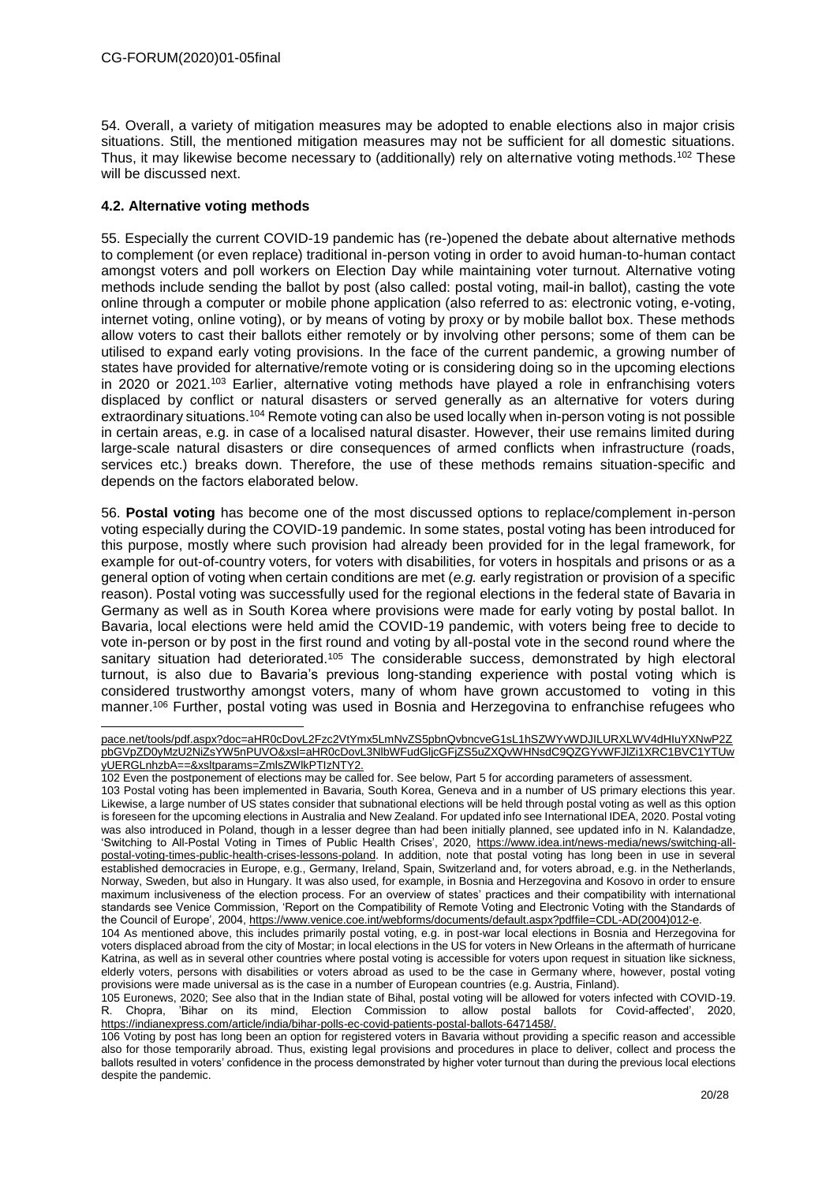54. Overall, a variety of mitigation measures may be adopted to enable elections also in major crisis situations. Still, the mentioned mitigation measures may not be sufficient for all domestic situations. Thus, it may likewise become necessary to (additionally) rely on alternative voting methods.<sup>102</sup> These will be discussed next.

## **4.2. Alternative voting methods**

55. Especially the current COVID-19 pandemic has (re-)opened the debate about alternative methods to complement (or even replace) traditional in-person voting in order to avoid human-to-human contact amongst voters and poll workers on Election Day while maintaining voter turnout. Alternative voting methods include sending the ballot by post (also called: postal voting, mail-in ballot), casting the vote online through a computer or mobile phone application (also referred to as: electronic voting, e-voting, internet voting, online voting), or by means of voting by proxy or by mobile ballot box. These methods allow voters to cast their ballots either remotely or by involving other persons; some of them can be utilised to expand early voting provisions. In the face of the current pandemic, a growing number of states have provided for alternative/remote voting or is considering doing so in the upcoming elections in 2020 or 2021.<sup>103</sup> Earlier, alternative voting methods have played a role in enfranchising voters displaced by conflict or natural disasters or served generally as an alternative for voters during extraordinary situations.<sup>104</sup> Remote voting can also be used locally when in-person voting is not possible in certain areas, e.g. in case of a localised natural disaster. However, their use remains limited during large-scale natural disasters or dire consequences of armed conflicts when infrastructure (roads, services etc.) breaks down. Therefore, the use of these methods remains situation-specific and depends on the factors elaborated below.

56. **Postal voting** has become one of the most discussed options to replace/complement in-person voting especially during the COVID-19 pandemic. In some states, postal voting has been introduced for this purpose, mostly where such provision had already been provided for in the legal framework, for example for out-of-country voters, for voters with disabilities, for voters in hospitals and prisons or as a general option of voting when certain conditions are met (*e.g.* early registration or provision of a specific reason). Postal voting was successfully used for the regional elections in the federal state of Bavaria in Germany as well as in South Korea where provisions were made for early voting by postal ballot. In Bavaria, local elections were held amid the COVID-19 pandemic, with voters being free to decide to vote in-person or by post in the first round and voting by all-postal vote in the second round where the sanitary situation had deteriorated.<sup>105</sup> The considerable success, demonstrated by high electoral turnout, is also due to Bavaria's previous long-standing experience with postal voting which is considered trustworthy amongst voters, many of whom have grown accustomed to voting in this manner. <sup>106</sup> Further, postal voting was used in Bosnia and Herzegovina to enfranchise refugees who

pace.net/tools/pdf.aspx?doc=aHR0cDovL2Fzc2VtYmx5LmNvZS5pbnQvbncveG1sL1hSZWYvWDJILURXLWV4dHIuYXNwP2Z pbGVpZD0yMzU2NiZsYW5nPUVO&xsl=aHR0cDovL3NlbWFudGljcGFjZS5uZXQvWHNsdC9QZGYvWFJlZi1XRC1BVC1YTUw yUERGLnhzbA==&xsltparams=ZmlsZWlkPTIzNTY2.

<sup>102</sup> Even the postponement of elections may be called for. See below, Part 5 for according parameters of assessment.

<sup>103</sup> Postal voting has been implemented in Bavaria, South Korea, Geneva and in a number of US primary elections this year. Likewise, a large number of US states consider that subnational elections will be held through postal voting as well as this option is foreseen for the upcoming elections in Australia and New Zealand. For updated info see International IDEA, 2020. Postal voting was also introduced in Poland, though in a lesser degree than had been initially planned, see updated info in N. Kalandadze, 'Switching to All-Postal Voting in Times of Public Health Crises', 2020, https://www.idea.int/news-media/news/switching-allpostal-voting-times-public-health-crises-lessons-poland. In addition, note that postal voting has long been in use in several established democracies in Europe, e.g., Germany, Ireland, Spain, Switzerland and, for voters abroad, e.g. in the Netherlands, Norway, Sweden, but also in Hungary. It was also used, for example, in Bosnia and Herzegovina and Kosovo in order to ensure maximum inclusiveness of the election process. For an overview of states' practices and their compatibility with international standards see Venice Commission, 'Report on the Compatibility of Remote Voting and Electronic Voting with the Standards of the Council of Europe', 2004[, https://www.venice.coe.int/webforms/documents/default.aspx?pdffile=CDL-AD\(2004\)012-e.](https://www.venice.coe.int/webforms/documents/default.aspx?pdffile=CDL-AD(2004)012-e)

<sup>104</sup> As mentioned above, this includes primarily postal voting, e.g. in post-war local elections in Bosnia and Herzegovina for voters displaced abroad from the city of Mostar; in local elections in the US for voters in New Orleans in the aftermath of hurricane Katrina, as well as in several other countries where postal voting is accessible for voters upon request in situation like sickness, elderly voters, persons with disabilities or voters abroad as used to be the case in Germany where, however, postal voting provisions were made universal as is the case in a number of European countries (e.g. Austria, Finland).

<sup>105</sup> Euronews, 2020; See also that in the Indian state of Bihal, postal voting will be allowed for voters infected with COVID-19. R. Chopra, 'Bihar on its mind, Election Commission to allow postal ballots for Covid-affected', 2020, https://indianexpress.com/article/india/bihar-polls-ec-covid-patients-postal-ballots-6471458/.

<sup>106</sup> Voting by post has long been an option for registered voters in Bavaria without providing a specific reason and accessible also for those temporarily abroad. Thus, existing legal provisions and procedures in place to deliver, collect and process the ballots resulted in voters' confidence in the process demonstrated by higher voter turnout than during the previous local elections despite the pandemic.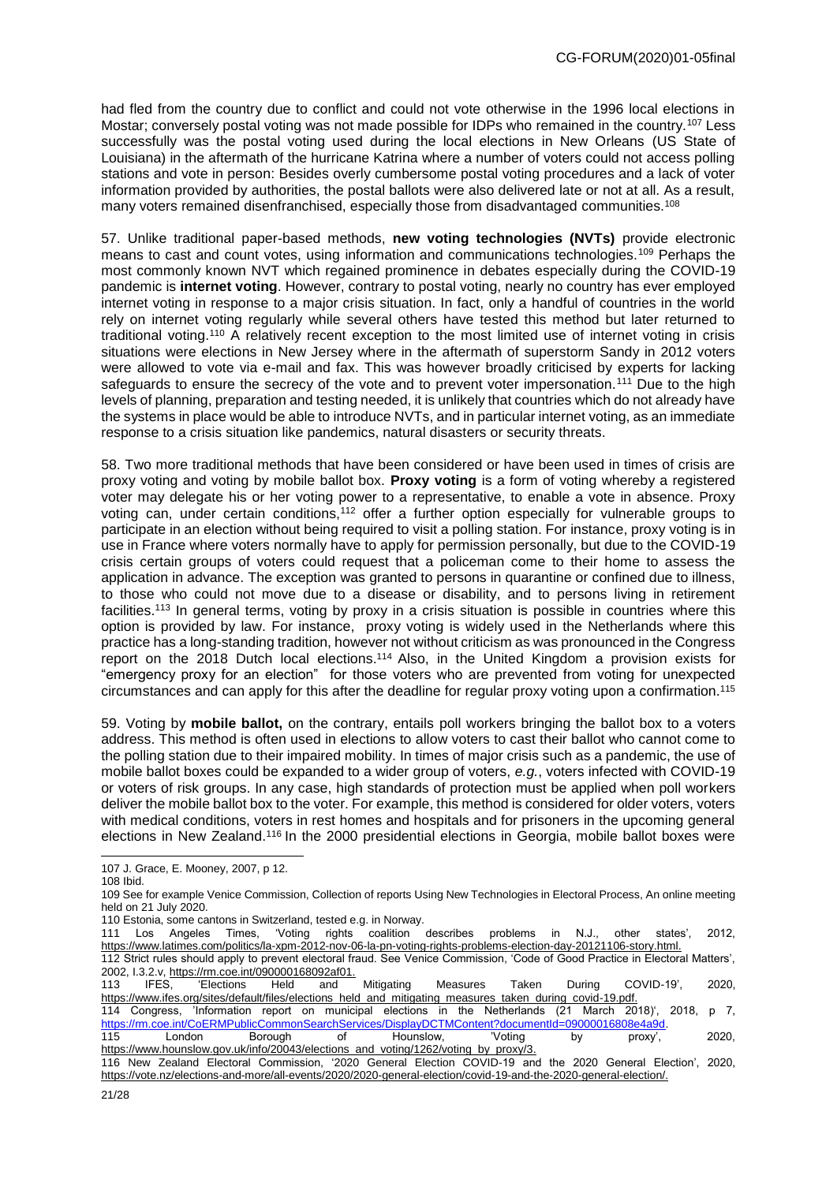had fled from the country due to conflict and could not vote otherwise in the 1996 local elections in Mostar; conversely postal voting was not made possible for IDPs who remained in the country.<sup>107</sup> Less successfully was the postal voting used during the local elections in New Orleans (US State of Louisiana) in the aftermath of the hurricane Katrina where a number of voters could not access polling stations and vote in person: Besides overly cumbersome postal voting procedures and a lack of voter information provided by authorities, the postal ballots were also delivered late or not at all. As a result, many voters remained disenfranchised, especially those from disadvantaged communities.<sup>108</sup>

57. Unlike traditional paper-based methods, **new voting technologies (NVTs)** provide electronic means to cast and count votes, using information and communications technologies.<sup>109</sup> Perhaps the most commonly known NVT which regained prominence in debates especially during the COVID-19 pandemic is **internet voting**. However, contrary to postal voting, nearly no country has ever employed internet voting in response to a major crisis situation. In fact, only a handful of countries in the world rely on internet voting regularly while several others have tested this method but later returned to traditional voting.<sup>110</sup> A relatively recent exception to the most limited use of internet voting in crisis situations were elections in New Jersey where in the aftermath of superstorm Sandy in 2012 voters were allowed to vote via e-mail and fax. This was however broadly criticised by experts for lacking safeguards to ensure the secrecy of the vote and to prevent voter impersonation.<sup>111</sup> Due to the high levels of planning, preparation and testing needed, it is unlikely that countries which do not already have the systems in place would be able to introduce NVTs, and in particular internet voting, as an immediate response to a crisis situation like pandemics, natural disasters or security threats.

58. Two more traditional methods that have been considered or have been used in times of crisis are proxy voting and voting by mobile ballot box. **Proxy voting** is a form of voting whereby a registered voter may delegate his or her voting power to a representative, to enable a vote in absence. Proxy voting can, under certain conditions,<sup>112</sup> offer a further option especially for vulnerable groups to participate in an election without being required to visit a polling station. For instance, proxy voting is in use in France where voters normally have to apply for permission personally, but due to the COVID-19 crisis certain groups of voters could request that a policeman come to their home to assess the application in advance. The exception was granted to persons in quarantine or confined due to illness, to those who could not move due to a disease or disability, and to persons living in retirement facilities.<sup>113</sup> In general terms, voting by proxy in a crisis situation is possible in countries where this option is provided by law. For instance, proxy voting is widely used in the Netherlands where this practice has a long-standing tradition, however not without criticism as was pronounced in the Congress report on the 2018 Dutch local elections. <sup>114</sup> Also, in the United Kingdom a provision exists for "emergency proxy for an election" for those voters who are prevented from voting for unexpected circumstances and can apply for this after the deadline for regular proxy voting upon a confirmation. 115

59. Voting by **mobile ballot,** on the contrary, entails poll workers bringing the ballot box to a voters address. This method is often used in elections to allow voters to cast their ballot who cannot come to the polling station due to their impaired mobility. In times of major crisis such as a pandemic, the use of mobile ballot boxes could be expanded to a wider group of voters, *e.g.*, voters infected with COVID-19 or voters of risk groups. In any case, high standards of protection must be applied when poll workers deliver the mobile ballot box to the voter. For example, this method is considered for older voters, voters with medical conditions, voters in rest homes and hospitals and for prisoners in the upcoming general elections in New Zealand.<sup>116</sup> In the 2000 presidential elections in Georgia, mobile ballot boxes were

<sup>107</sup> J. Grace, E. Mooney, 2007, p 12.

<sup>108</sup> Ibid.

<sup>109</sup> See for example Venice Commission, Collection of reports Using New Technologies in Electoral Process, An online meeting held on 21 July 2020.

<sup>110</sup> Estonia, some cantons in Switzerland, tested e.g. in Norway.

<sup>111</sup> Los Angeles Times, 'Voting rights coalition describes problems in N.J., other states', 2012, https://www.latimes.com/politics/la-xpm-2012-nov-06-la-pn-voting-rights-problems-election-day-20121106-story.html.

<sup>112</sup> Strict rules should apply to prevent electoral fraud. See Venice Commission, 'Code of Good Practice in Electoral Matters', 2002, I.3.2.v, https://rm.coe.int/090000168092af01.

<sup>113</sup> IFES, 'Elections Held and Mitigating Measures Taken During COVID-19', 2020, https://www.ifes.org/sites/default/files/elections\_held\_and\_mitigating\_measures\_taken\_during\_covid-19.pdf.<br>114 Congress. 'Information\_report\_on\_municipal\_elections\_in\_the\_Netherlands\_(21 March\_2018)',\_2018,\_p\_7,

<sup>114</sup> Congress, 'Information report on municipal elections in the Netherlands (21 March 2018)', 2018, p 7, [https://rm.coe.int/CoERMPublicCommonSearchServices/DisplayDCTMContent?documentId=09000016808e4a9d.](https://rm.coe.int/CoERMPublicCommonSearchServices/DisplayDCTMContent?documentId=09000016808e4a9d)

<sup>115</sup> London Borough of Hounslow, 'Voting by proxy', 2020, [https://www.hounslow.gov.uk/info/20043/elections\\_and\\_voting/1262/voting\\_by\\_proxy/3.](https://www.hounslow.gov.uk/info/20043/elections_and_voting/1262/voting_by_proxy/3)

<sup>116</sup> New Zealand Electoral Commission, '2020 General Election COVID-19 and the 2020 General Election', 2020, https://vote.nz/elections-and-more/all-events/2020/2020-general-election/covid-19-and-the-2020-general-election/.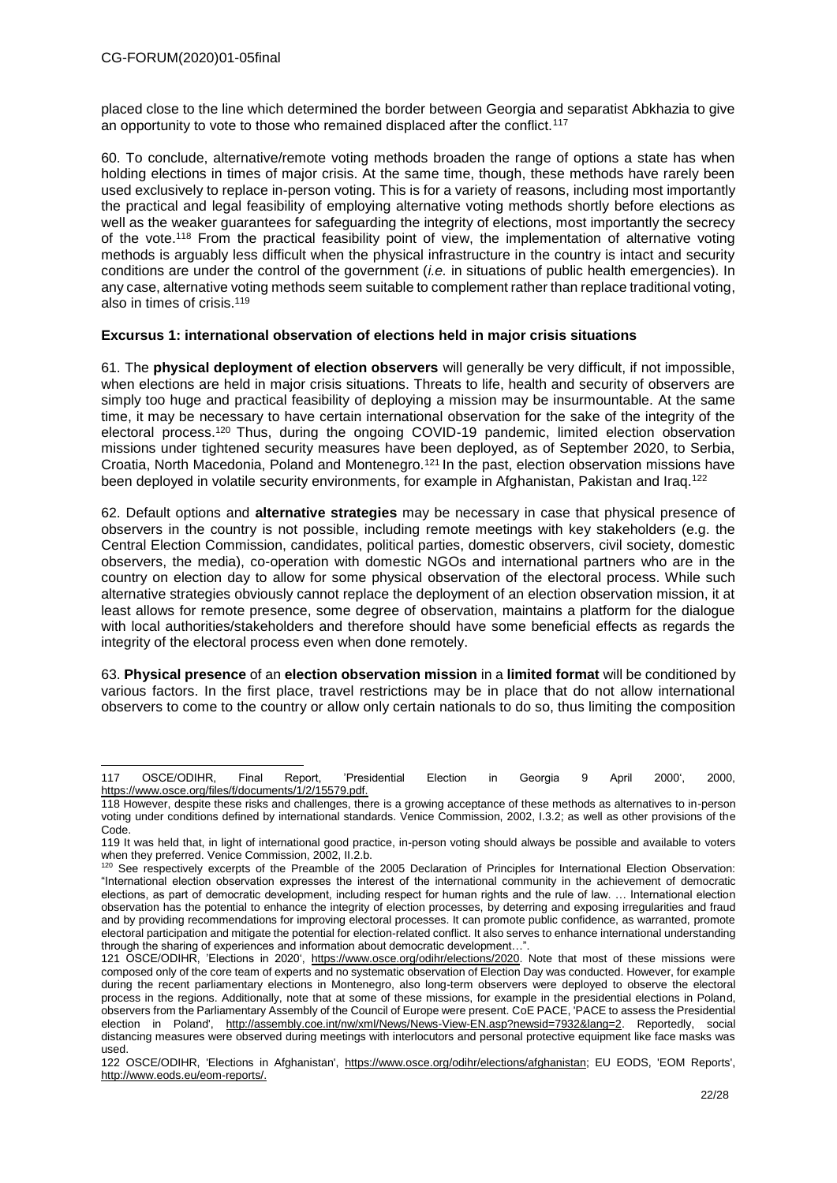placed close to the line which determined the border between Georgia and separatist Abkhazia to give an opportunity to vote to those who remained displaced after the conflict.<sup>117</sup>

60. To conclude, alternative/remote voting methods broaden the range of options a state has when holding elections in times of major crisis. At the same time, though, these methods have rarely been used exclusively to replace in-person voting. This is for a variety of reasons, including most importantly the practical and legal feasibility of employing alternative voting methods shortly before elections as well as the weaker guarantees for safeguarding the integrity of elections, most importantly the secrecy of the vote.<sup>118</sup> From the practical feasibility point of view, the implementation of alternative voting methods is arguably less difficult when the physical infrastructure in the country is intact and security conditions are under the control of the government (*i.e.* in situations of public health emergencies). In any case, alternative voting methods seem suitable to complement rather than replace traditional voting, also in times of crisis.<sup>119</sup>

#### **Excursus 1: international observation of elections held in major crisis situations**

61. The **physical deployment of election observers** will generally be very difficult, if not impossible, when elections are held in major crisis situations. Threats to life, health and security of observers are simply too huge and practical feasibility of deploying a mission may be insurmountable. At the same time, it may be necessary to have certain international observation for the sake of the integrity of the electoral process.<sup>120</sup> Thus, during the ongoing COVID-19 pandemic, limited election observation missions under tightened security measures have been deployed, as of September 2020, to Serbia, Croatia, North Macedonia, Poland and Montenegro.<sup>121</sup> In the past, election observation missions have been deployed in volatile security environments, for example in Afghanistan, Pakistan and Iraq.<sup>122</sup>

62. Default options and **alternative strategies** may be necessary in case that physical presence of observers in the country is not possible, including remote meetings with key stakeholders (e.g. the Central Election Commission, candidates, political parties, domestic observers, civil society, domestic observers, the media), co-operation with domestic NGOs and international partners who are in the country on election day to allow for some physical observation of the electoral process. While such alternative strategies obviously cannot replace the deployment of an election observation mission, it at least allows for remote presence, some degree of observation, maintains a platform for the dialogue with local authorities/stakeholders and therefore should have some beneficial effects as regards the integrity of the electoral process even when done remotely.

63. **Physical presence** of an **election observation mission** in a **limited format** will be conditioned by various factors. In the first place, travel restrictions may be in place that do not allow international observers to come to the country or allow only certain nationals to do so, thus limiting the composition

<sup>-</sup>117 OSCE/ODIHR, Final Report, 'Presidential Election in Georgia 9 April 2000', 2000, https://www.osce.org/files/f/documents/1/2/15579.pdf.

<sup>118</sup> However, despite these risks and challenges, there is a growing acceptance of these methods as alternatives to in-person voting under conditions defined by international standards. Venice Commission, 2002, I.3.2; as well as other provisions of the Code<sup>.</sup>

<sup>119</sup> It was held that, in light of international good practice, in-person voting should always be possible and available to voters when they preferred. Venice Commission, 2002, II.2.b.

<sup>120</sup> See respectively excerpts of the Preamble of the 2005 Declaration of Principles for International Election Observation: "International election observation expresses the interest of the international community in the achievement of democratic elections, as part of democratic development, including respect for human rights and the rule of law. … International election observation has the potential to enhance the integrity of election processes, by deterring and exposing irregularities and fraud and by providing recommendations for improving electoral processes. It can promote public confidence, as warranted, promote electoral participation and mitigate the potential for election-related conflict. It also serves to enhance international understanding through the sharing of experiences and information about democratic development...'

<sup>121</sup> OSCE/ODIHR, 'Elections in 2020', [https://www.osce.org/odihr/elections/2020.](https://www.osce.org/odihr/elections/2020) Note that most of these missions were composed only of the core team of experts and no systematic observation of Election Day was conducted. However, for example during the recent parliamentary elections in Montenegro, also long-term observers were deployed to observe the electoral process in the regions. Additionally, note that at some of these missions, for example in the presidential elections in Poland, observers from the Parliamentary Assembly of the Council of Europe were present. CoE PACE, 'PACE to assess the Presidential election in Poland', [http://assembly.coe.int/nw/xml/News/News-View-EN.asp?newsid=7932&lang=2.](http://assembly.coe.int/nw/xml/News/News-View-EN.asp?newsid=7932&lang=2) Reportedly, social distancing measures were observed during meetings with interlocutors and personal protective equipment like face masks was used.

<sup>122</sup> OSCE/ODIHR, 'Elections in Afghanistan', [https://www.osce.org/odihr/elections/afghanistan;](https://www.osce.org/odihr/elections/afghanistan) EU EODS, 'EOM Reports', http://www.eods.eu/eom-reports/.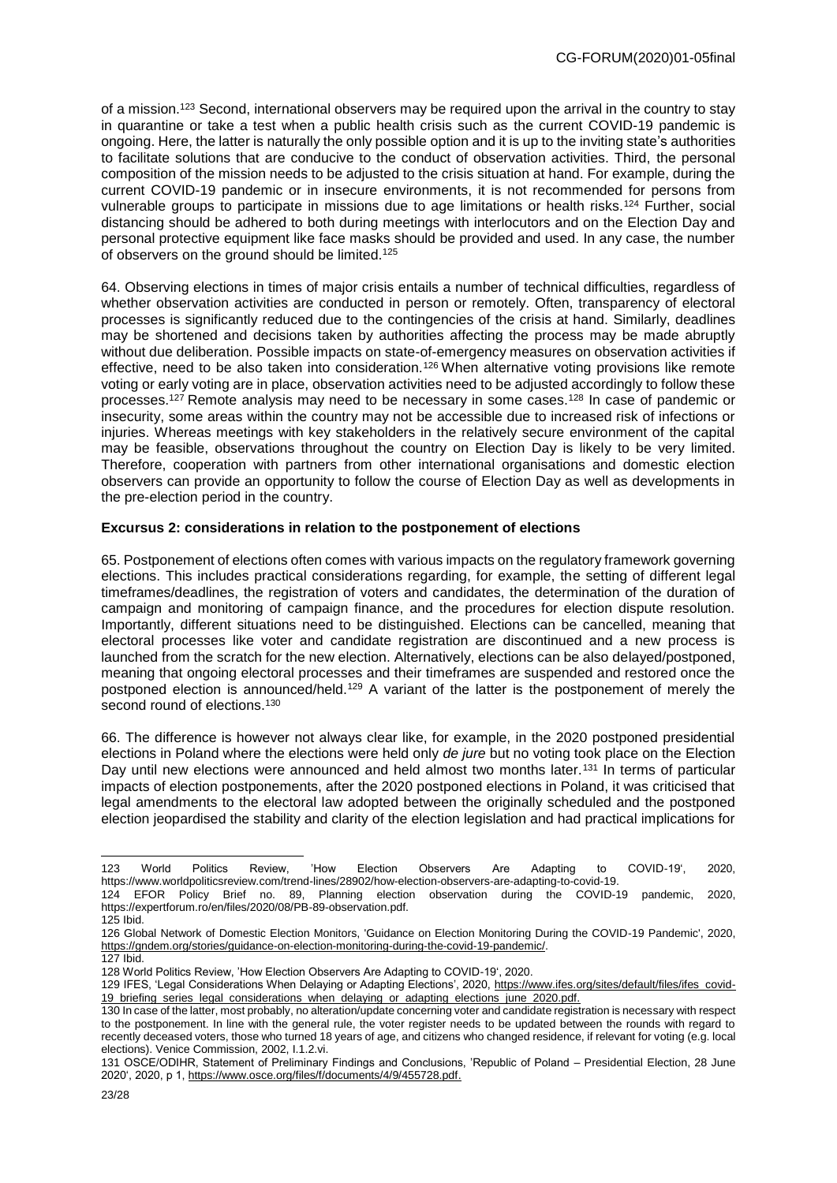of a mission.<sup>123</sup> Second, international observers may be required upon the arrival in the country to stay in quarantine or take a test when a public health crisis such as the current COVID-19 pandemic is ongoing. Here, the latter is naturally the only possible option and it is up to the inviting state's authorities to facilitate solutions that are conducive to the conduct of observation activities. Third, the personal composition of the mission needs to be adjusted to the crisis situation at hand. For example, during the current COVID-19 pandemic or in insecure environments, it is not recommended for persons from vulnerable groups to participate in missions due to age limitations or health risks.<sup>124</sup> Further, social distancing should be adhered to both during meetings with interlocutors and on the Election Day and personal protective equipment like face masks should be provided and used. In any case, the number of observers on the ground should be limited.<sup>125</sup>

64. Observing elections in times of major crisis entails a number of technical difficulties, regardless of whether observation activities are conducted in person or remotely. Often, transparency of electoral processes is significantly reduced due to the contingencies of the crisis at hand. Similarly, deadlines may be shortened and decisions taken by authorities affecting the process may be made abruptly without due deliberation. Possible impacts on state-of-emergency measures on observation activities if effective, need to be also taken into consideration.<sup>126</sup> When alternative voting provisions like remote voting or early voting are in place, observation activities need to be adjusted accordingly to follow these processes.<sup>127</sup> Remote analysis may need to be necessary in some cases.<sup>128</sup> In case of pandemic or insecurity, some areas within the country may not be accessible due to increased risk of infections or injuries. Whereas meetings with key stakeholders in the relatively secure environment of the capital may be feasible, observations throughout the country on Election Day is likely to be very limited. Therefore, cooperation with partners from other international organisations and domestic election observers can provide an opportunity to follow the course of Election Day as well as developments in the pre-election period in the country.

#### **Excursus 2: considerations in relation to the postponement of elections**

65. Postponement of elections often comes with various impacts on the regulatory framework governing elections. This includes practical considerations regarding, for example, the setting of different legal timeframes/deadlines, the registration of voters and candidates, the determination of the duration of campaign and monitoring of campaign finance, and the procedures for election dispute resolution. Importantly, different situations need to be distinguished. Elections can be cancelled, meaning that electoral processes like voter and candidate registration are discontinued and a new process is launched from the scratch for the new election. Alternatively, elections can be also delayed/postponed, meaning that ongoing electoral processes and their timeframes are suspended and restored once the postponed election is announced/held.<sup>129</sup> A variant of the latter is the postponement of merely the second round of elections.<sup>130</sup>

66. The difference is however not always clear like, for example, in the 2020 postponed presidential elections in Poland where the elections were held only *de jure* but no voting took place on the Election Day until new elections were announced and held almost two months later.<sup>131</sup> In terms of particular impacts of election postponements, after the 2020 postponed elections in Poland, it was criticised that legal amendments to the electoral law adopted between the originally scheduled and the postponed election jeopardised the stability and clarity of the election legislation and had practical implications for

<sup>123</sup> World Politics Review, 'How Election Observers Are Adapting to COVID-19', 2020, https://www.worldpoliticsreview.com/trend-lines/28902/how-election-observers-are-adapting-to-covid-19. 124 EFOR Policy Brief no. 89, Planning election observation during the COVID-19 pandemic, 2020, https://expertforum.ro/en/files/2020/08/PB-89-observation.pdf.

<sup>125</sup> Ibid.

<sup>126</sup> Global Network of Domestic Election Monitors, 'Guidance on Election Monitoring During the COVID-19 Pandemic', 2020, https://gndem.org/stories/guidance-on-election-monitoring-during-the-covid-19-pandemic/.

<sup>127</sup> Ibid.

<sup>128</sup> World Politics Review, 'How Election Observers Are Adapting to COVID-19', 2020.

<sup>129</sup> IFES, 'Legal Considerations When Delaying or Adapting Elections', 2020, https://www.ifes.org/sites/default/files/ifes\_covid-19\_briefing\_series\_legal\_considerations\_when\_delaying\_or\_adapting\_elections\_june\_2020.pdf.

<sup>130</sup> In case of the latter, most probably, no alteration/update concerning voter and candidate registration is necessary with respect to the postponement. In line with the general rule, the voter register needs to be updated between the rounds with regard to recently deceased voters, those who turned 18 years of age, and citizens who changed residence, if relevant for voting (e.g. local elections). Venice Commission, 2002, I.1.2.vi.

<sup>131</sup> OSCE/ODIHR, Statement of Preliminary Findings and Conclusions, 'Republic of Poland – Presidential Election, 28 June 2020', 2020, p 1, [https://www.osce.org/files/f/documents/4/9/455728.pdf.](https://www.osce.org/files/f/documents/4/9/455728.pdf)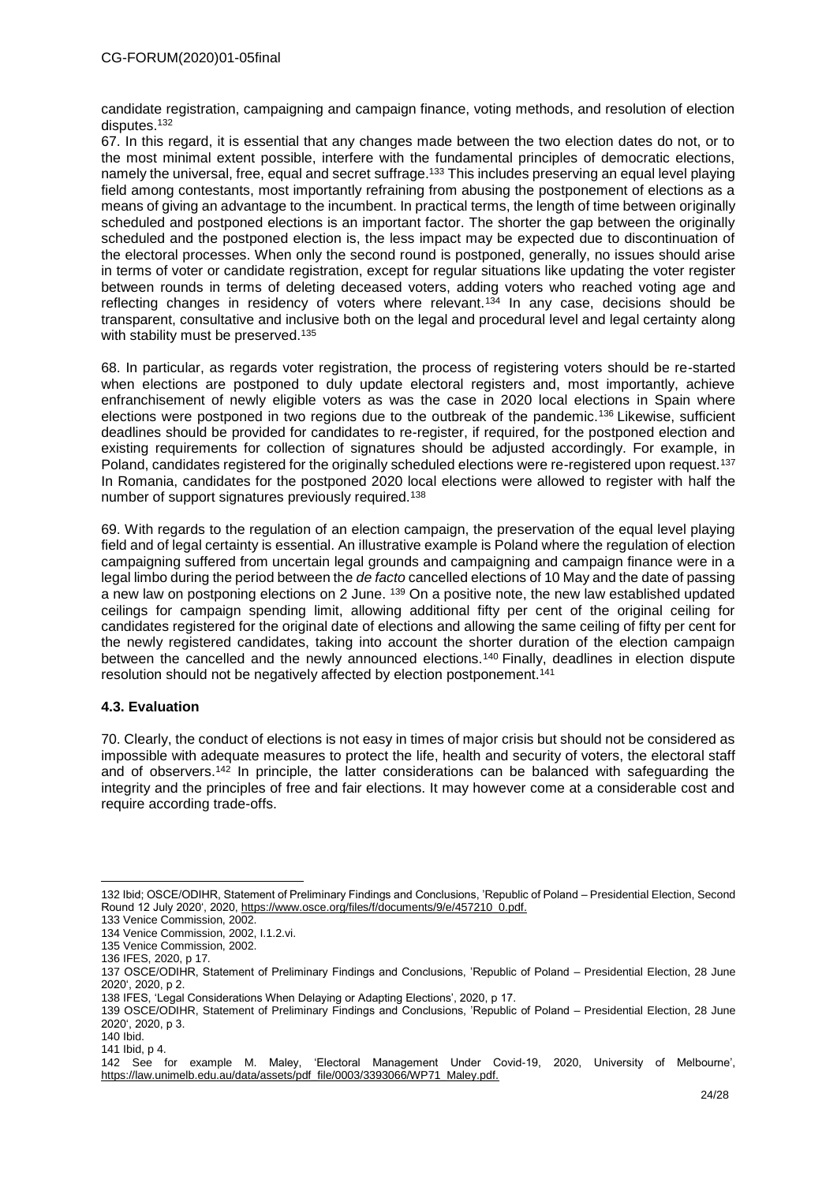candidate registration, campaigning and campaign finance, voting methods, and resolution of election disputes.<sup>132</sup>

67. In this regard, it is essential that any changes made between the two election dates do not, or to the most minimal extent possible, interfere with the fundamental principles of democratic elections, namely the universal, free, equal and secret suffrage.<sup>133</sup> This includes preserving an equal level playing field among contestants, most importantly refraining from abusing the postponement of elections as a means of giving an advantage to the incumbent. In practical terms, the length of time between originally scheduled and postponed elections is an important factor. The shorter the gap between the originally scheduled and the postponed election is, the less impact may be expected due to discontinuation of the electoral processes. When only the second round is postponed, generally, no issues should arise in terms of voter or candidate registration, except for regular situations like updating the voter register between rounds in terms of deleting deceased voters, adding voters who reached voting age and reflecting changes in residency of voters where relevant.<sup>134</sup> In any case, decisions should be transparent, consultative and inclusive both on the legal and procedural level and legal certainty along with stability must be preserved.<sup>135</sup>

68. In particular, as regards voter registration, the process of registering voters should be re-started when elections are postponed to duly update electoral registers and, most importantly, achieve enfranchisement of newly eligible voters as was the case in 2020 local elections in Spain where elections were postponed in two regions due to the outbreak of the pandemic.<sup>136</sup> Likewise, sufficient deadlines should be provided for candidates to re-register, if required, for the postponed election and existing requirements for collection of signatures should be adjusted accordingly. For example, in Poland, candidates registered for the originally scheduled elections were re-registered upon request.<sup>137</sup> In Romania, candidates for the postponed 2020 local elections were allowed to register with half the number of support signatures previously required.<sup>138</sup>

69. With regards to the regulation of an election campaign, the preservation of the equal level playing field and of legal certainty is essential. An illustrative example is Poland where the regulation of election campaigning suffered from uncertain legal grounds and campaigning and campaign finance were in a legal limbo during the period between the *de facto* cancelled elections of 10 May and the date of passing a new law on postponing elections on 2 June. <sup>139</sup> On a positive note, the new law established updated ceilings for campaign spending limit, allowing additional fifty per cent of the original ceiling for candidates registered for the original date of elections and allowing the same ceiling of fifty per cent for the newly registered candidates, taking into account the shorter duration of the election campaign between the cancelled and the newly announced elections.<sup>140</sup> Finally, deadlines in election dispute resolution should not be negatively affected by election postponement. 141

# **4.3. Evaluation**

70. Clearly, the conduct of elections is not easy in times of major crisis but should not be considered as impossible with adequate measures to protect the life, health and security of voters, the electoral staff and of observers.<sup>142</sup> In principle, the latter considerations can be balanced with safeguarding the integrity and the principles of free and fair elections. It may however come at a considerable cost and require according trade-offs.

<sup>132</sup> Ibid; OSCE/ODIHR, Statement of Preliminary Findings and Conclusions, 'Republic of Poland – Presidential Election, Second Round 12 July 2020', 2020[, https://www.osce.org/files/f/documents/9/e/457210\\_0.pdf.](https://www.osce.org/files/f/documents/9/e/457210_0.pdf)

<sup>133</sup> Venice Commission, 2002.

<sup>134</sup> Venice Commission, 2002, I.1.2.vi.

<sup>135</sup> Venice Commission, 2002.

<sup>136</sup> IFES, 2020, p 17.

<sup>137</sup> OSCE/ODIHR, Statement of Preliminary Findings and Conclusions, 'Republic of Poland – Presidential Election, 28 June 2020', 2020, p 2.

<sup>138</sup> IFES, 'Legal Considerations When Delaying or Adapting Elections', 2020, p 17.

<sup>139</sup> OSCE/ODIHR, Statement of Preliminary Findings and Conclusions, 'Republic of Poland – Presidential Election, 28 June 2020', 2020, p 3.

<sup>140</sup> Ibid.

<sup>141</sup> Ibid, p 4.

<sup>142</sup> See for example M. Maley, 'Electoral Management Under Covid-19, 2020, University of Melbourne', https://law.unimelb.edu.au/data/assets/pdf\_file/0003/3393066/WP71\_Maley.pdf.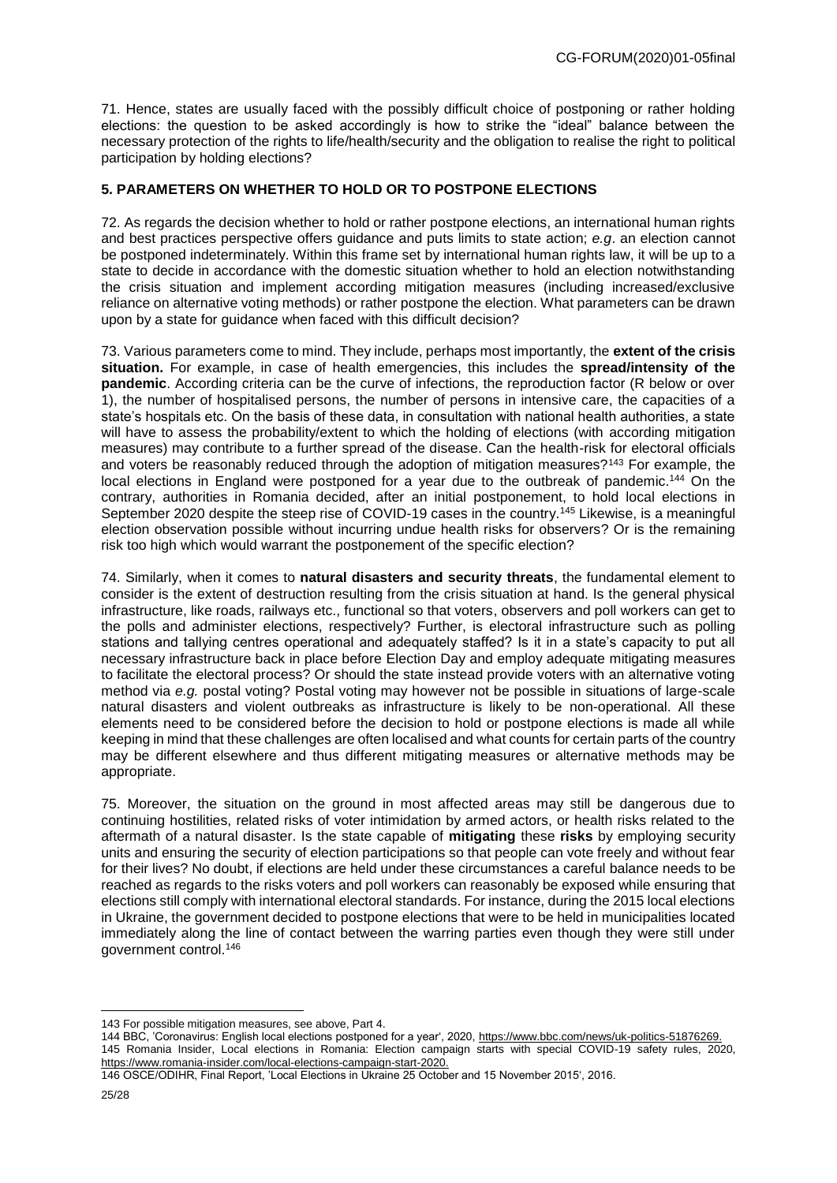71. Hence, states are usually faced with the possibly difficult choice of postponing or rather holding elections: the question to be asked accordingly is how to strike the "ideal" balance between the necessary protection of the rights to life/health/security and the obligation to realise the right to political participation by holding elections?

# **5. PARAMETERS ON WHETHER TO HOLD OR TO POSTPONE ELECTIONS**

72. As regards the decision whether to hold or rather postpone elections, an international human rights and best practices perspective offers guidance and puts limits to state action; *e.g*. an election cannot be postponed indeterminately. Within this frame set by international human rights law, it will be up to a state to decide in accordance with the domestic situation whether to hold an election notwithstanding the crisis situation and implement according mitigation measures (including increased/exclusive reliance on alternative voting methods) or rather postpone the election. What parameters can be drawn upon by a state for guidance when faced with this difficult decision?

73. Various parameters come to mind. They include, perhaps most importantly, the **extent of the crisis situation.** For example, in case of health emergencies, this includes the **spread/intensity of the pandemic**. According criteria can be the curve of infections, the reproduction factor (R below or over 1), the number of hospitalised persons, the number of persons in intensive care, the capacities of a state's hospitals etc. On the basis of these data, in consultation with national health authorities, a state will have to assess the probability/extent to which the holding of elections (with according mitigation measures) may contribute to a further spread of the disease. Can the health-risk for electoral officials and voters be reasonably reduced through the adoption of mitigation measures?<sup>143</sup> For example, the local elections in England were postponed for a year due to the outbreak of pandemic.<sup>144</sup> On the contrary, authorities in Romania decided, after an initial postponement, to hold local elections in September 2020 despite the steep rise of COVID-19 cases in the country.<sup>145</sup> Likewise, is a meaningful election observation possible without incurring undue health risks for observers? Or is the remaining risk too high which would warrant the postponement of the specific election?

74. Similarly, when it comes to **natural disasters and security threats**, the fundamental element to consider is the extent of destruction resulting from the crisis situation at hand. Is the general physical infrastructure, like roads, railways etc., functional so that voters, observers and poll workers can get to the polls and administer elections, respectively? Further, is electoral infrastructure such as polling stations and tallying centres operational and adequately staffed? Is it in a state's capacity to put all necessary infrastructure back in place before Election Day and employ adequate mitigating measures to facilitate the electoral process? Or should the state instead provide voters with an alternative voting method via *e.g.* postal voting? Postal voting may however not be possible in situations of large-scale natural disasters and violent outbreaks as infrastructure is likely to be non-operational. All these elements need to be considered before the decision to hold or postpone elections is made all while keeping in mind that these challenges are often localised and what counts for certain parts of the country may be different elsewhere and thus different mitigating measures or alternative methods may be appropriate.

75. Moreover, the situation on the ground in most affected areas may still be dangerous due to continuing hostilities, related risks of voter intimidation by armed actors, or health risks related to the aftermath of a natural disaster. Is the state capable of **mitigating** these **risks** by employing security units and ensuring the security of election participations so that people can vote freely and without fear for their lives? No doubt, if elections are held under these circumstances a careful balance needs to be reached as regards to the risks voters and poll workers can reasonably be exposed while ensuring that elections still comply with international electoral standards. For instance, during the 2015 local elections in Ukraine, the government decided to postpone elections that were to be held in municipalities located immediately along the line of contact between the warring parties even though they were still under government control.<sup>146</sup>

144 BBC, 'Coronavirus: English local elections postponed for a year', 2020[, https://www.bbc.com/news/uk-politics-51876269.](https://www.bbc.com/news/uk-politics-51876269) 145 Romania Insider, Local elections in Romania: Election campaign starts with special COVID-19 safety rules, 2020, [https://www.romania-insider.com/local-elections-campaign-start-2020.](https://www.romania-insider.com/local-elections-campaign-start-2020)

146 OSCE/ODIHR, Final Report, 'Local Elections in Ukraine 25 October and 15 November 2015', 2016.

<sup>143</sup> For possible mitigation measures, see above, Part 4.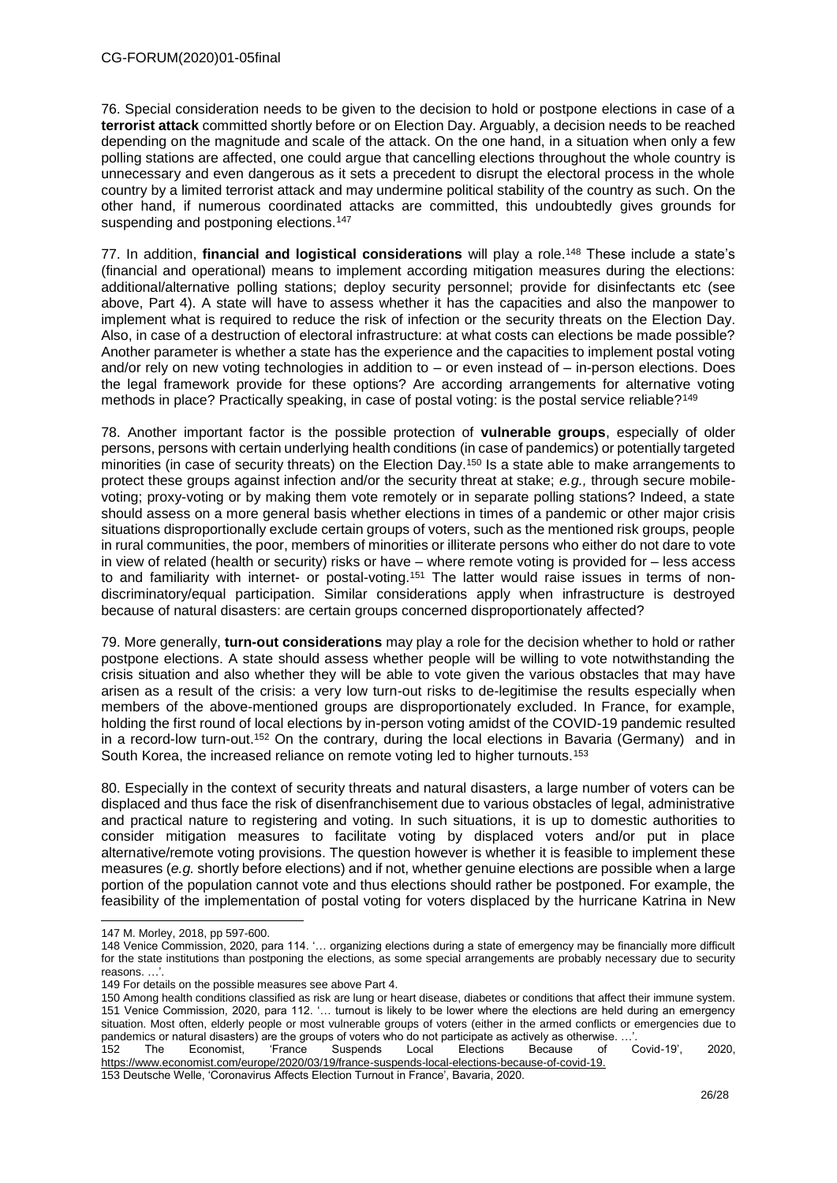76. Special consideration needs to be given to the decision to hold or postpone elections in case of a **terrorist attack** committed shortly before or on Election Day. Arguably, a decision needs to be reached depending on the magnitude and scale of the attack. On the one hand, in a situation when only a few polling stations are affected, one could argue that cancelling elections throughout the whole country is unnecessary and even dangerous as it sets a precedent to disrupt the electoral process in the whole country by a limited terrorist attack and may undermine political stability of the country as such. On the other hand, if numerous coordinated attacks are committed, this undoubtedly gives grounds for suspending and postponing elections.<sup>147</sup>

77. In addition, **financial and logistical considerations** will play a role.<sup>148</sup> These include a state's (financial and operational) means to implement according mitigation measures during the elections: additional/alternative polling stations; deploy security personnel; provide for disinfectants etc (see above, Part 4). A state will have to assess whether it has the capacities and also the manpower to implement what is required to reduce the risk of infection or the security threats on the Election Day. Also, in case of a destruction of electoral infrastructure: at what costs can elections be made possible? Another parameter is whether a state has the experience and the capacities to implement postal voting and/or rely on new voting technologies in addition to – or even instead of – in-person elections. Does the legal framework provide for these options? Are according arrangements for alternative voting methods in place? Practically speaking, in case of postal voting: is the postal service reliable?<sup>149</sup>

78. Another important factor is the possible protection of **vulnerable groups**, especially of older persons, persons with certain underlying health conditions (in case of pandemics) or potentially targeted minorities (in case of security threats) on the Election Day.<sup>150</sup> Is a state able to make arrangements to protect these groups against infection and/or the security threat at stake; *e.g.,* through secure mobilevoting; proxy-voting or by making them vote remotely or in separate polling stations? Indeed, a state should assess on a more general basis whether elections in times of a pandemic or other major crisis situations disproportionally exclude certain groups of voters, such as the mentioned risk groups, people in rural communities, the poor, members of minorities or illiterate persons who either do not dare to vote in view of related (health or security) risks or have – where remote voting is provided for – less access to and familiarity with internet- or postal-voting.<sup>151</sup> The latter would raise issues in terms of nondiscriminatory/equal participation. Similar considerations apply when infrastructure is destroyed because of natural disasters: are certain groups concerned disproportionately affected?

79. More generally, **turn-out considerations** may play a role for the decision whether to hold or rather postpone elections. A state should assess whether people will be willing to vote notwithstanding the crisis situation and also whether they will be able to vote given the various obstacles that may have arisen as a result of the crisis: a very low turn-out risks to de-legitimise the results especially when members of the above-mentioned groups are disproportionately excluded. In France, for example, holding the first round of local elections by in-person voting amidst of the COVID-19 pandemic resulted in a record-low turn-out.<sup>152</sup> On the contrary, during the local elections in Bavaria (Germany) and in South Korea, the increased reliance on remote voting led to higher turnouts.<sup>153</sup>

80. Especially in the context of security threats and natural disasters, a large number of voters can be displaced and thus face the risk of disenfranchisement due to various obstacles of legal, administrative and practical nature to registering and voting. In such situations, it is up to domestic authorities to consider mitigation measures to facilitate voting by displaced voters and/or put in place alternative/remote voting provisions. The question however is whether it is feasible to implement these measures (*e.g.* shortly before elections) and if not, whether genuine elections are possible when a large portion of the population cannot vote and thus elections should rather be postponed. For example, the feasibility of the implementation of postal voting for voters displaced by the hurricane Katrina in New

<sup>147</sup> M. Morley, 2018, pp 597-600.

<sup>148</sup> Venice Commission, 2020, para 114. '… organizing elections during a state of emergency may be financially more difficult for the state institutions than postponing the elections, as some special arrangements are probably necessary due to security reasons. …'.

<sup>149</sup> For details on the possible measures see above Part 4.

<sup>150</sup> Among health conditions classified as risk are lung or heart disease, diabetes or conditions that affect their immune system. 151 Venice Commission, 2020, para 112. '… turnout is likely to be lower where the elections are held during an emergency situation. Most often, elderly people or most vulnerable groups of voters (either in the armed conflicts or emergencies due to pandemics or natural disasters) are the groups of voters who do not participate as actively as otherwise. ..

<sup>152</sup> The Economist, 'France Suspends Local Elections Because of Covid-19', 2020, https://www.economist.com/europe/2020/03/19/france-suspends-local-elections-because-of-covid-19.

<sup>153</sup> Deutsche Welle, 'Coronavirus Affects Election Turnout in France', Bavaria, 2020.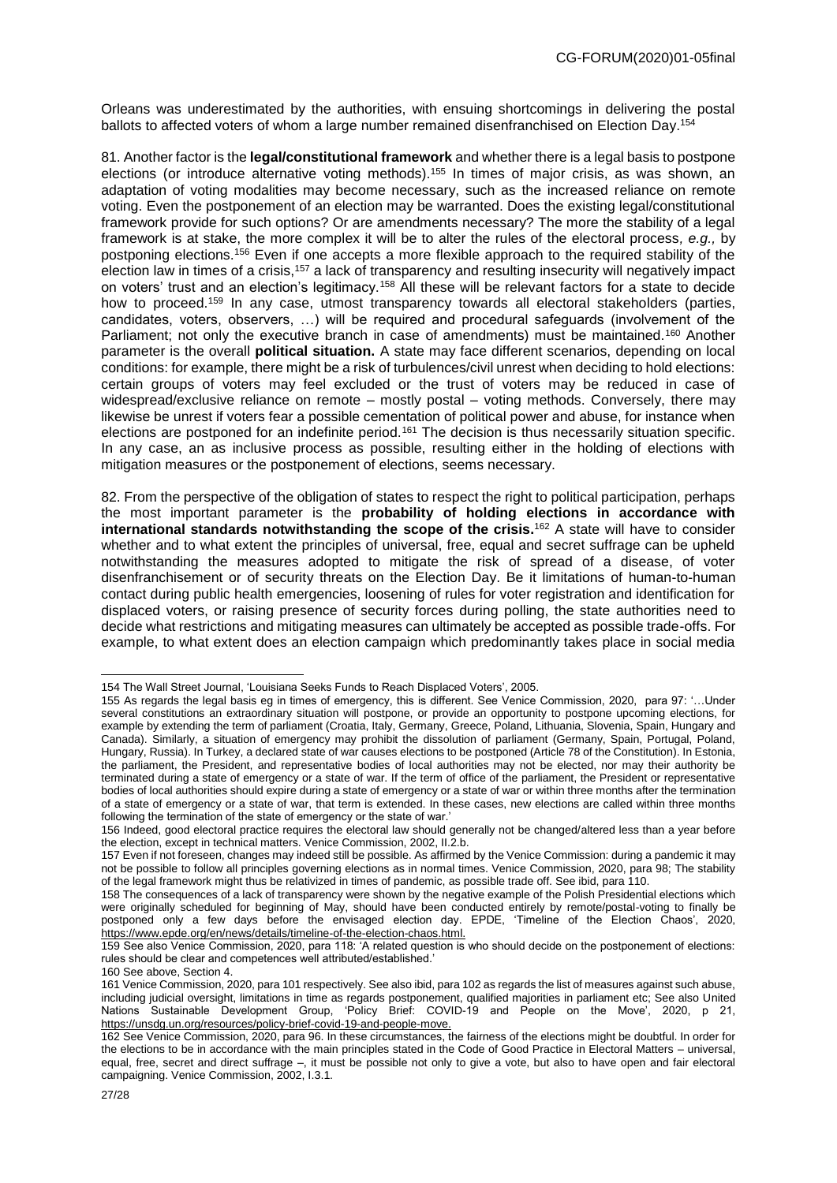Orleans was underestimated by the authorities, with ensuing shortcomings in delivering the postal ballots to affected voters of whom a large number remained disenfranchised on Election Day.<sup>154</sup>

81. Another factor is the **legal/constitutional framework** and whether there is a legal basis to postpone elections (or introduce alternative voting methods).<sup>155</sup> In times of major crisis, as was shown, an adaptation of voting modalities may become necessary, such as the increased reliance on remote voting. Even the postponement of an election may be warranted. Does the existing legal/constitutional framework provide for such options? Or are amendments necessary? The more the stability of a legal framework is at stake, the more complex it will be to alter the rules of the electoral process*, e.g.,* by postponing elections.<sup>156</sup> Even if one accepts a more flexible approach to the required stability of the election law in times of a crisis,<sup>157</sup> a lack of transparency and resulting insecurity will negatively impact on voters' trust and an election's legitimacy.<sup>158</sup> All these will be relevant factors for a state to decide how to proceed.<sup>159</sup> In any case, utmost transparency towards all electoral stakeholders (parties, candidates, voters, observers, …) will be required and procedural safeguards (involvement of the Parliament; not only the executive branch in case of amendments) must be maintained.<sup>160</sup> Another parameter is the overall **political situation.** A state may face different scenarios, depending on local conditions: for example, there might be a risk of turbulences/civil unrest when deciding to hold elections: certain groups of voters may feel excluded or the trust of voters may be reduced in case of widespread/exclusive reliance on remote – mostly postal – voting methods. Conversely, there may likewise be unrest if voters fear a possible cementation of political power and abuse, for instance when elections are postponed for an indefinite period.<sup>161</sup> The decision is thus necessarily situation specific. In any case, an as inclusive process as possible, resulting either in the holding of elections with mitigation measures or the postponement of elections, seems necessary.

82. From the perspective of the obligation of states to respect the right to political participation, perhaps the most important parameter is the **probability of holding elections in accordance with international standards notwithstanding the scope of the crisis.** <sup>162</sup> A state will have to consider whether and to what extent the principles of universal, free, equal and secret suffrage can be upheld notwithstanding the measures adopted to mitigate the risk of spread of a disease, of voter disenfranchisement or of security threats on the Election Day. Be it limitations of human-to-human contact during public health emergencies, loosening of rules for voter registration and identification for displaced voters, or raising presence of security forces during polling, the state authorities need to decide what restrictions and mitigating measures can ultimately be accepted as possible trade-offs. For example, to what extent does an election campaign which predominantly takes place in social media

<sup>154</sup> The Wall Street Journal, 'Louisiana Seeks Funds to Reach Displaced Voters', 2005.

<sup>155</sup> As regards the legal basis eg in times of emergency, this is different. See Venice Commission, 2020, para 97: '…Under several constitutions an extraordinary situation will postpone, or provide an opportunity to postpone upcoming elections, for example by extending the term of parliament (Croatia, Italy, Germany, Greece, Poland, Lithuania, Slovenia, Spain, Hungary and Canada). Similarly, a situation of emergency may prohibit the dissolution of parliament (Germany, Spain, Portugal, Poland, Hungary, Russia). In Turkey, a declared state of war causes elections to be postponed (Article 78 of the Constitution). In Estonia, the parliament, the President, and representative bodies of local authorities may not be elected, nor may their authority be terminated during a state of emergency or a state of war. If the term of office of the parliament, the President or representative bodies of local authorities should expire during a state of emergency or a state of war or within three months after the termination of a state of emergency or a state of war, that term is extended. In these cases, new elections are called within three months following the termination of the state of emergency or the state of war.'

<sup>156</sup> Indeed, good electoral practice requires the electoral law should generally not be changed/altered less than a year before the election, except in technical matters. Venice Commission, 2002, II.2.b.

<sup>157</sup> Even if not foreseen, changes may indeed still be possible. As affirmed by the Venice Commission: during a pandemic it may not be possible to follow all principles governing elections as in normal times. Venice Commission, 2020, para 98; The stability of the legal framework might thus be relativized in times of pandemic, as possible trade off. See ibid, para 110.

<sup>158</sup> The consequences of a lack of transparency were shown by the negative example of the Polish Presidential elections which were originally scheduled for beginning of May, should have been conducted entirely by remote/postal-voting to finally be postponed only a few days before the envisaged election day. EPDE, 'Timeline of the Election Chaos', 2020, https://www.epde.org/en/news/details/timeline-of-the-election-chaos.html.

<sup>159</sup> See also Venice Commission, 2020, para 118: 'A related question is who should decide on the postponement of elections: rules should be clear and competences well attributed/established.'

<sup>160</sup> See above, Section 4.

<sup>161</sup> Venice Commission, 2020, para 101 respectively. See also ibid, para 102 as regards the list of measures against such abuse, including judicial oversight, limitations in time as regards postponement, qualified majorities in parliament etc; See also United Nations Sustainable Development Group, 'Policy Brief: COVID-19 and People on the Move', 2020, p 21, https://unsdg.un.org/resources/policy-brief-covid-19-and-people-move.

<sup>162</sup> See Venice Commission, 2020, para 96. In these circumstances, the fairness of the elections might be doubtful. In order for the elections to be in accordance with the main principles stated in the Code of Good Practice in Electoral Matters – universal, equal, free, secret and direct suffrage –, it must be possible not only to give a vote, but also to have open and fair electoral campaigning. Venice Commission, 2002, I.3.1.